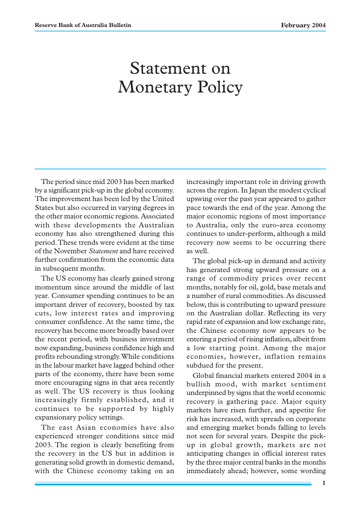# Statement on Monetary Policy

The period since mid 2003 has been marked by a significant pick-up in the global economy. The improvement has been led by the United States but also occurred in varying degrees in the other major economic regions. Associated with these developments the Australian economy has also strengthened during this period. These trends were evident at the time of the November *Statement* and have received further confirmation from the economic data in subsequent months.

The US economy has clearly gained strong momentum since around the middle of last year. Consumer spending continues to be an important driver of recovery, boosted by tax cuts, low interest rates and improving consumer confidence. At the same time, the recovery has become more broadly based over the recent period, with business investment now expanding, business confidence high and profits rebounding strongly. While conditions in the labour market have lagged behind other parts of the economy, there have been some more encouraging signs in that area recently as well. The US recovery is thus looking increasingly firmly established, and it continues to be supported by highly expansionary policy settings.

The east Asian economies have also experienced stronger conditions since mid 2003. The region is clearly benefiting from the recovery in the US but in addition is generating solid growth in domestic demand, with the Chinese economy taking on an increasingly important role in driving growth across the region. In Japan the modest cyclical upswing over the past year appeared to gather pace towards the end of the year. Among the major economic regions of most importance to Australia, only the euro-area economy continues to under-perform, although a mild recovery now seems to be occurring there as well.

The global pick-up in demand and activity has generated strong upward pressure on a range of commodity prices over recent months, notably for oil, gold, base metals and a number of rural commodities. As discussed below, this is contributing to upward pressure on the Australian dollar. Reflecting its very rapid rate of expansion and low exchange rate, the Chinese economy now appears to be entering a period of rising inflation, albeit from a low starting point. Among the major economies, however, inflation remains subdued for the present.

Global financial markets entered 2004 in a bullish mood, with market sentiment underpinned by signs that the world economic recovery is gathering pace. Major equity markets have risen further, and appetite for risk has increased, with spreads on corporate and emerging market bonds falling to levels not seen for several years. Despite the pickup in global growth, markets are not anticipating changes in official interest rates by the three major central banks in the months immediately ahead; however, some wording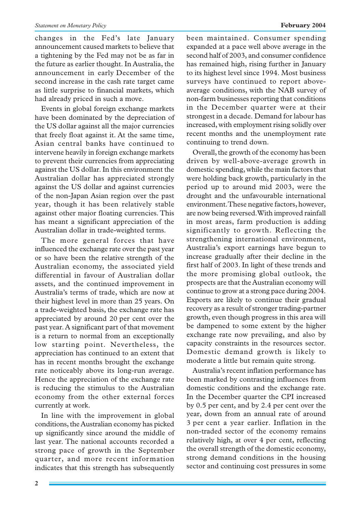### *Statement on Monetary Policy* **February 2004**

changes in the Fed's late January announcement caused markets to believe that a tightening by the Fed may not be as far in the future as earlier thought. In Australia, the announcement in early December of the second increase in the cash rate target came as little surprise to financial markets, which had already priced in such a move.

Events in global foreign exchange markets have been dominated by the depreciation of the US dollar against all the major currencies that freely float against it. At the same time, Asian central banks have continued to intervene heavily in foreign exchange markets to prevent their currencies from appreciating against the US dollar. In this environment the Australian dollar has appreciated strongly against the US dollar and against currencies of the non-Japan Asian region over the past year, though it has been relatively stable against other major floating currencies. This has meant a significant appreciation of the Australian dollar in trade-weighted terms.

The more general forces that have influenced the exchange rate over the past year or so have been the relative strength of the Australian economy, the associated yield differential in favour of Australian dollar assets, and the continued improvement in Australia's terms of trade, which are now at their highest level in more than 25 years. On a trade-weighted basis, the exchange rate has appreciated by around 20 per cent over the past year. A significant part of that movement is a return to normal from an exceptionally low starting point. Nevertheless, the appreciation has continued to an extent that has in recent months brought the exchange rate noticeably above its long-run average. Hence the appreciation of the exchange rate is reducing the stimulus to the Australian economy from the other external forces currently at work.

In line with the improvement in global conditions, the Australian economy has picked up significantly since around the middle of last year. The national accounts recorded a strong pace of growth in the September quarter, and more recent information indicates that this strength has subsequently been maintained. Consumer spending expanded at a pace well above average in the second half of 2003, and consumer confidence has remained high, rising further in January to its highest level since 1994. Most business surveys have continued to report aboveaverage conditions, with the NAB survey of non-farm businesses reporting that conditions in the December quarter were at their strongest in a decade. Demand for labour has increased, with employment rising solidly over recent months and the unemployment rate continuing to trend down.

Overall, the growth of the economy has been driven by well-above-average growth in domestic spending, while the main factors that were holding back growth, particularly in the period up to around mid 2003, were the drought and the unfavourable international environment. These negative factors, however, are now being reversed. With improved rainfall in most areas, farm production is adding significantly to growth. Reflecting the strengthening international environment, Australia's export earnings have begun to increase gradually after their decline in the first half of 2003. In light of these trends and the more promising global outlook, the prospects are that the Australian economy will continue to grow at a strong pace during 2004. Exports are likely to continue their gradual recovery as a result of stronger trading-partner growth, even though progress in this area will be dampened to some extent by the higher exchange rate now prevailing, and also by capacity constraints in the resources sector. Domestic demand growth is likely to moderate a little but remain quite strong.

Australia's recent inflation performance has been marked by contrasting influences from domestic conditions and the exchange rate. In the December quarter the CPI increased by 0.5 per cent, and by 2.4 per cent over the year, down from an annual rate of around 3 per cent a year earlier. Inflation in the non-traded sector of the economy remains relatively high, at over 4 per cent, reflecting the overall strength of the domestic economy, strong demand conditions in the housing sector and continuing cost pressures in some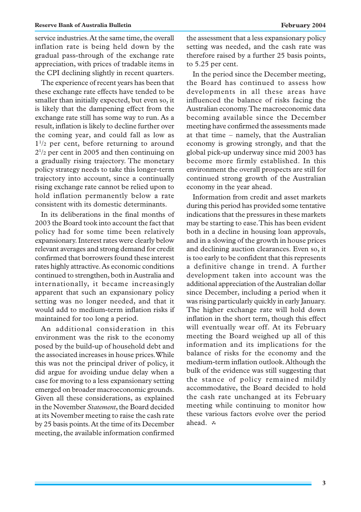service industries. At the same time, the overall inflation rate is being held down by the gradual pass-through of the exchange rate appreciation, with prices of tradable items in the CPI declining slightly in recent quarters.

The experience of recent years has been that these exchange rate effects have tended to be smaller than initially expected, but even so, it is likely that the dampening effect from the exchange rate still has some way to run. As a result, inflation is likely to decline further over the coming year, and could fall as low as  $1^{1/2}$  per cent, before returning to around  $2^{1/2}$  per cent in 2005 and then continuing on a gradually rising trajectory. The monetary policy strategy needs to take this longer-term trajectory into account, since a continually rising exchange rate cannot be relied upon to hold inflation permanently below a rate consistent with its domestic determinants.

In its deliberations in the final months of 2003 the Board took into account the fact that policy had for some time been relatively expansionary. Interest rates were clearly below relevant averages and strong demand for credit confirmed that borrowers found these interest rates highly attractive. As economic conditions continued to strengthen, both in Australia and internationally, it became increasingly apparent that such an expansionary policy setting was no longer needed, and that it would add to medium-term inflation risks if maintained for too long a period.

An additional consideration in this environment was the risk to the economy posed by the build-up of household debt and the associated increases in house prices. While this was not the principal driver of policy, it did argue for avoiding undue delay when a case for moving to a less expansionary setting emerged on broader macroeconomic grounds. Given all these considerations, as explained in the November *Statement*, the Board decided at its November meeting to raise the cash rate by 25 basis points. At the time of its December meeting, the available information confirmed the assessment that a less expansionary policy setting was needed, and the cash rate was therefore raised by a further 25 basis points, to 5.25 per cent.

In the period since the December meeting, the Board has continued to assess how developments in all these areas have influenced the balance of risks facing the Australian economy. The macroeconomic data becoming available since the December meeting have confirmed the assessments made at that time – namely, that the Australian economy is growing strongly, and that the global pick-up underway since mid 2003 has become more firmly established. In this environment the overall prospects are still for continued strong growth of the Australian economy in the year ahead.

Information from credit and asset markets during this period has provided some tentative indications that the pressures in these markets may be starting to ease. This has been evident both in a decline in housing loan approvals, and in a slowing of the growth in house prices and declining auction clearances. Even so, it is too early to be confident that this represents a definitive change in trend. A further development taken into account was the additional appreciation of the Australian dollar since December, including a period when it was rising particularly quickly in early January. The higher exchange rate will hold down inflation in the short term, though this effect will eventually wear off. At its February meeting the Board weighed up all of this information and its implications for the balance of risks for the economy and the medium-term inflation outlook. Although the bulk of the evidence was still suggesting that the stance of policy remained mildly accommodative, the Board decided to hold the cash rate unchanged at its February meeting while continuing to monitor how these various factors evolve over the period ahead. A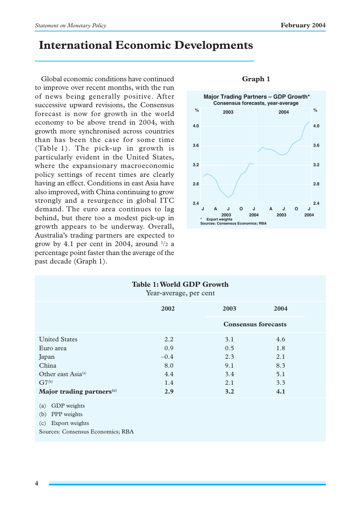# **International Economic Developments**

Global economic conditions have continued to improve over recent months, with the run of news being generally positive. After successive upward revisions, the Consensus forecast is now for growth in the world economy to be above trend in 2004, with growth more synchronised across countries than has been the case for some time (Table 1). The pick-up in growth is particularly evident in the United States, where the expansionary macroeconomic policy settings of recent times are clearly having an effect. Conditions in east Asia have also improved, with China continuing to grow strongly and a resurgence in global ITC demand. The euro area continues to lag behind, but there too a modest pick-up in growth appears to be underway. Overall, Australia's trading partners are expected to grow by 4.1 per cent in 2004, around  $\frac{1}{2}$  a percentage point faster than the average of the past decade (Graph 1).



### **Graph 1**

| Table 1: World GDP Growth<br>Year-average, per cent                      |        |      |                            |  |  |
|--------------------------------------------------------------------------|--------|------|----------------------------|--|--|
|                                                                          | 2002   | 2003 | 2004                       |  |  |
|                                                                          |        |      | <b>Consensus forecasts</b> |  |  |
| <b>United States</b>                                                     | 2.2    | 3.1  | 4.6                        |  |  |
| Euro area                                                                | 0.9    | 0.5  | 1.8                        |  |  |
| Japan                                                                    | $-0.4$ | 2.3  | 2.1                        |  |  |
| China                                                                    | 8.0    | 9.1  | 8.3                        |  |  |
| Other east Asia <sup>(a)</sup>                                           | 4.4    | 3.4  | 5.1                        |  |  |
| $G7^{(b)}$                                                               | 1.4    | 2.1  | 3.3                        |  |  |
| Major trading partners <sup>(c)</sup>                                    | 2.9    | 3.2  | 4.1                        |  |  |
| GDP weights<br>(a)<br><b>PPP</b> weights<br>(b)<br>Export weights<br>(c) |        |      |                            |  |  |

Sources: Consensus Economics; RBA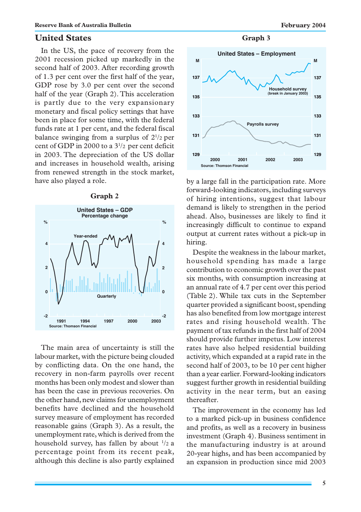# **United States**

In the US, the pace of recovery from the 2001 recession picked up markedly in the second half of 2003. After recording growth of 1.3 per cent over the first half of the year, GDP rose by 3.0 per cent over the second half of the year (Graph 2). This acceleration is partly due to the very expansionary monetary and fiscal policy settings that have been in place for some time, with the federal funds rate at 1 per cent, and the federal fiscal balance swinging from a surplus of  $2^{1/2}$  per cent of GDP in 2000 to a  $3^{1/2}$  per cent deficit in 2003. The depreciation of the US dollar and increases in household wealth, arising from renewed strength in the stock market, have also played a role.





The main area of uncertainty is still the labour market, with the picture being clouded by conflicting data. On the one hand, the recovery in non-farm payrolls over recent months has been only modest and slower than has been the case in previous recoveries. On the other hand, new claims for unemployment benefits have declined and the household survey measure of employment has recorded reasonable gains (Graph 3). As a result, the unemployment rate, which is derived from the household survey, has fallen by about  $\frac{1}{2}$  a percentage point from its recent peak, although this decline is also partly explained

**Graph 3**



by a large fall in the participation rate. More forward-looking indicators, including surveys of hiring intentions, suggest that labour demand is likely to strengthen in the period ahead. Also, businesses are likely to find it increasingly difficult to continue to expand output at current rates without a pick-up in hiring.

Despite the weakness in the labour market, household spending has made a large contribution to economic growth over the past six months, with consumption increasing at an annual rate of 4.7 per cent over this period (Table 2). While tax cuts in the September quarter provided a significant boost, spending has also benefited from low mortgage interest rates and rising household wealth. The payment of tax refunds in the first half of 2004 should provide further impetus. Low interest rates have also helped residential building activity, which expanded at a rapid rate in the second half of 2003, to be 10 per cent higher than a year earlier. Forward-looking indicators suggest further growth in residential building activity in the near term, but an easing thereafter.

The improvement in the economy has led to a marked pick-up in business confidence and profits, as well as a recovery in business investment (Graph 4). Business sentiment in the manufacturing industry is at around 20-year highs, and has been accompanied by an expansion in production since mid 2003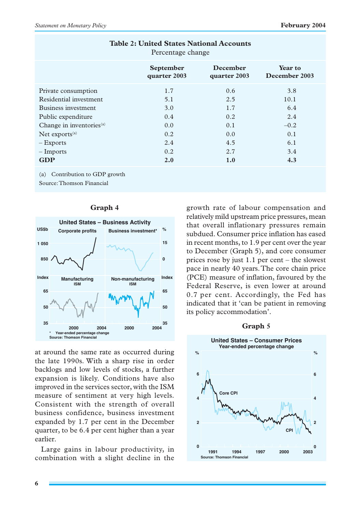| 1 Creentage change                   |                           |                                 |                          |  |
|--------------------------------------|---------------------------|---------------------------------|--------------------------|--|
|                                      | September<br>quarter 2003 | <b>December</b><br>quarter 2003 | Year to<br>December 2003 |  |
| Private consumption                  | 1.7                       | 0.6                             | 3.8                      |  |
| Residential investment               | 5.1                       | 2.5                             | 10.1                     |  |
| Business investment                  | 3.0                       | 1.7                             | 6.4                      |  |
| Public expenditure                   | 0.4                       | 0.2                             | 2.4                      |  |
| Change in inventories <sup>(a)</sup> | 0.0                       | 0.1                             | $-0.2$                   |  |
| Net exports <sup>(a)</sup>           | 0.2                       | 0.0                             | 0.1                      |  |
| $-$ Exports                          | 2.4                       | 4.5                             | 6.1                      |  |
| $-$ Imports                          | 0.2                       | 2.7                             | 3.4                      |  |
| <b>GDP</b>                           | 2.0                       | 1.0                             | 4.3                      |  |
|                                      |                           |                                 |                          |  |

**Table 2: United States National Accounts** Percentage change

(a) Contribution to GDP growth

Source: Thomson Financial



### **Graph 4**

at around the same rate as occurred during the late 1990s. With a sharp rise in order backlogs and low levels of stocks, a further expansion is likely. Conditions have also improved in the services sector, with the ISM measure of sentiment at very high levels. Consistent with the strength of overall business confidence, business investment expanded by 1.7 per cent in the December quarter, to be 6.4 per cent higher than a year earlier.

Large gains in labour productivity, in combination with a slight decline in the growth rate of labour compensation and relatively mild upstream price pressures, mean that overall inflationary pressures remain subdued. Consumer price inflation has eased in recent months, to 1.9 per cent over the year to December (Graph 5), and core consumer prices rose by just 1.1 per cent – the slowest pace in nearly 40 years. The core chain price (PCE) measure of inflation, favoured by the Federal Reserve, is even lower at around 0.7 per cent. Accordingly, the Fed has indicated that it 'can be patient in removing its policy accommodation'.

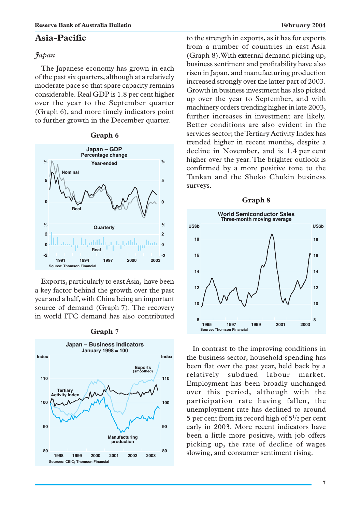# **Asia-Pacific**

## *Japan*

The Japanese economy has grown in each of the past six quarters, although at a relatively moderate pace so that spare capacity remains considerable. Real GDP is 1.8 per cent higher over the year to the September quarter (Graph 6), and more timely indicators point to further growth in the December quarter.

### **Graph 6**



Exports, particularly to east Asia, have been a key factor behind the growth over the past year and a half, with China being an important source of demand (Graph 7). The recovery in world ITC demand has also contributed



### **Graph 7**

to the strength in exports, as it has for exports from a number of countries in east Asia (Graph 8). With external demand picking up, business sentiment and profitability have also risen in Japan, and manufacturing production increased strongly over the latter part of 2003. Growth in business investment has also picked up over the year to September, and with machinery orders trending higher in late 2003, further increases in investment are likely. Better conditions are also evident in the services sector; the Tertiary Activity Index has trended higher in recent months, despite a decline in November, and is 1.4 per cent higher over the year. The brighter outlook is confirmed by a more positive tone to the Tankan and the Shoko Chukin business surveys.



In contrast to the improving conditions in the business sector, household spending has been flat over the past year, held back by a relatively subdued labour market. Employment has been broadly unchanged over this period, although with the participation rate having fallen, the unemployment rate has declined to around 5 per cent from its record high of  $5\frac{1}{2}$  per cent early in 2003. More recent indicators have been a little more positive, with job offers picking up, the rate of decline of wages slowing, and consumer sentiment rising.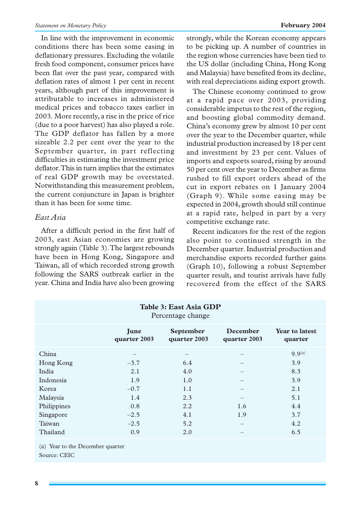In line with the improvement in economic conditions there has been some easing in deflationary pressures. Excluding the volatile fresh food component, consumer prices have been flat over the past year, compared with deflation rates of almost 1 per cent in recent years, although part of this improvement is attributable to increases in administered medical prices and tobacco taxes earlier in 2003. More recently, a rise in the price of rice (due to a poor harvest) has also played a role. The GDP deflator has fallen by a more sizeable 2.2 per cent over the year to the September quarter, in part reflecting difficulties in estimating the investment price deflator. This in turn implies that the estimates of real GDP growth may be overstated. Notwithstanding this measurement problem, the current conjuncture in Japan is brighter than it has been for some time.

# *East Asia*

After a difficult period in the first half of 2003, east Asian economies are growing strongly again (Table 3). The largest rebounds have been in Hong Kong, Singapore and Taiwan, all of which recorded strong growth following the SARS outbreak earlier in the year. China and India have also been growing strongly, while the Korean economy appears to be picking up. A number of countries in the region whose currencies have been tied to the US dollar (including China, Hong Kong and Malaysia) have benefited from its decline, with real depreciations aiding export growth.

The Chinese economy continued to grow at a rapid pace over 2003, providing considerable impetus to the rest of the region, and boosting global commodity demand. China's economy grew by almost 10 per cent over the year to the December quarter, while industrial production increased by 18 per cent and investment by 23 per cent. Values of imports and exports soared, rising by around 50 per cent over the year to December as firms rushed to fill export orders ahead of the cut in export rebates on 1 January 2004 (Graph 9). While some easing may be expected in 2004, growth should still continue at a rapid rate, helped in part by a very competitive exchange rate.

Recent indicators for the rest of the region also point to continued strength in the December quarter. Industrial production and merchandise exports recorded further gains (Graph 10), following a robust September quarter result, and tourist arrivals have fully recovered from the effect of the SARS

| Table 3: East Asia GDP<br>Percentage change |                             |                                  |                                 |                                  |  |  |
|---------------------------------------------|-----------------------------|----------------------------------|---------------------------------|----------------------------------|--|--|
|                                             | <b>June</b><br>quarter 2003 | <b>September</b><br>quarter 2003 | <b>December</b><br>quarter 2003 | <b>Year to latest</b><br>quarter |  |  |
| China                                       |                             |                                  |                                 | $9.9^{(a)}$                      |  |  |
| Hong Kong                                   | $-3.7$                      | 6.4                              |                                 | 3.9                              |  |  |
| India                                       | 2.1                         | 4.0                              |                                 | 8.3                              |  |  |
| Indonesia                                   | 1.9                         | 1.0                              |                                 | 3.9                              |  |  |
| Korea                                       | $-0.7$                      | 1.1                              |                                 | 2.1                              |  |  |
| Malaysia                                    | 1.4                         | 2.3                              |                                 | 5.1                              |  |  |
| Philippines                                 | 0.8                         | 2.2                              | 1.6                             | 4.4                              |  |  |
| Singapore                                   | $-2.5$                      | 4.1                              | 1.9                             | 3.7                              |  |  |
| Taiwan                                      | $-2.5$                      | 5.2                              | -                               | 4.2                              |  |  |
| Thailand                                    | 0.9                         | 2.0                              |                                 | 6.5                              |  |  |

<sup>(</sup>a) Year to the December quarter Source: CEIC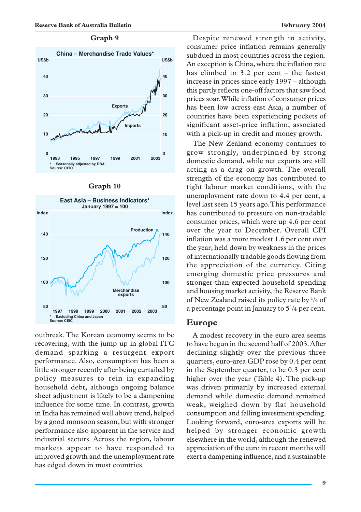### **Graph 9**



| I<br>rrann |  |
|------------|--|
|------------|--|



outbreak. The Korean economy seems to be recovering, with the jump up in global ITC demand sparking a resurgent export performance. Also, consumption has been a little stronger recently after being curtailed by policy measures to rein in expanding household debt, although ongoing balance sheet adjustment is likely to be a dampening influence for some time. In contrast, growth in India has remained well above trend, helped by a good monsoon season, but with stronger performance also apparent in the service and industrial sectors. Across the region, labour markets appear to have responded to improved growth and the unemployment rate has edged down in most countries.

Despite renewed strength in activity, consumer price inflation remains generally subdued in most countries across the region. An exception is China, where the inflation rate has climbed to 3.2 per cent – the fastest increase in prices since early 1997 – although this partly reflects one-off factors that saw food prices soar. While inflation of consumer prices has been low across east Asia, a number of countries have been experiencing pockets of significant asset-price inflation, associated with a pick-up in credit and money growth.

The New Zealand economy continues to grow strongly, underpinned by strong domestic demand, while net exports are still acting as a drag on growth. The overall strength of the economy has contributed to tight labour market conditions, with the unemployment rate down to 4.4 per cent, a level last seen 15 years ago. This performance has contributed to pressure on non-tradable consumer prices, which were up 4.6 per cent over the year to December. Overall CPI inflation was a more modest 1.6 per cent over the year, held down by weakness in the prices of internationally tradable goods flowing from the appreciation of the currency. Citing emerging domestic price pressures and stronger-than-expected household spending and housing market activity, the Reserve Bank of New Zealand raised its policy rate by 1/4 of a percentage point in January to  $5\frac{1}{4}$  per cent.

### **Europe**

A modest recovery in the euro area seems to have begun in the second half of 2003. After declining slightly over the previous three quarters, euro-area GDP rose by 0.4 per cent in the September quarter, to be 0.3 per cent higher over the year (Table 4). The pick-up was driven primarily by increased external demand while domestic demand remained weak, weighed down by flat household consumption and falling investment spending. Looking forward, euro-area exports will be helped by stronger economic growth elsewhere in the world, although the renewed appreciation of the euro in recent months will exert a dampening influence, and a sustainable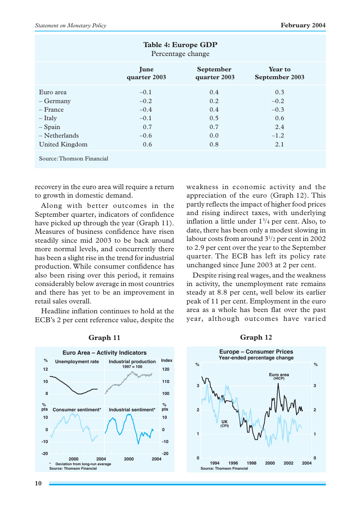| Table 4: Europe GDP<br>Percentage change                                              |        |     |        |  |  |  |  |
|---------------------------------------------------------------------------------------|--------|-----|--------|--|--|--|--|
| September<br><b>Year to</b><br>June<br>September 2003<br>quarter 2003<br>quarter 2003 |        |     |        |  |  |  |  |
| Euro area                                                                             | $-0.1$ | 0.4 | 0.3    |  |  |  |  |
| – Germany                                                                             | $-0.2$ | 0.2 | $-0.2$ |  |  |  |  |
| – France                                                                              | $-0.4$ | 0.4 | $-0.3$ |  |  |  |  |
| $-$ Italy                                                                             | $-0.1$ | 0.5 | 0.6    |  |  |  |  |
| $-$ Spain                                                                             | 0.7    | 0.7 | 2.4    |  |  |  |  |
| $-$ Netherlands                                                                       | $-0.6$ | 0.0 | $-1.2$ |  |  |  |  |
| United Kingdom                                                                        | 0.6    | 0.8 | 2.1    |  |  |  |  |
| Source: Thomson Financial                                                             |        |     |        |  |  |  |  |

recovery in the euro area will require a return to growth in domestic demand.

Along with better outcomes in the September quarter, indicators of confidence have picked up through the year (Graph 11). Measures of business confidence have risen steadily since mid 2003 to be back around more normal levels, and concurrently there has been a slight rise in the trend for industrial production. While consumer confidence has also been rising over this period, it remains considerably below average in most countries and there has yet to be an improvement in retail sales overall.

Headline inflation continues to hold at the ECB's 2 per cent reference value, despite the weakness in economic activity and the appreciation of the euro (Graph 12). This partly reflects the impact of higher food prices and rising indirect taxes, with underlying inflation a little under  $1\frac{3}{4}$  per cent. Also, to date, there has been only a modest slowing in labour costs from around 31 /2 per cent in 2002 to 2.9 per cent over the year to the September quarter. The ECB has left its policy rate unchanged since June 2003 at 2 per cent.

Despite rising real wages, and the weakness in activity, the unemployment rate remains steady at 8.8 per cent, well below its earlier peak of 11 per cent. Employment in the euro area as a whole has been flat over the past year, although outcomes have varied



### **Graph 11**

**0 1 2 3 0 1 2 3 Europe – Consumer Prices Year-ended percentage change % % 2004 Source: Thomson Financial 1998 2002 UK 1996 1994 2000 (CPI)** Euro

### **Graph 12**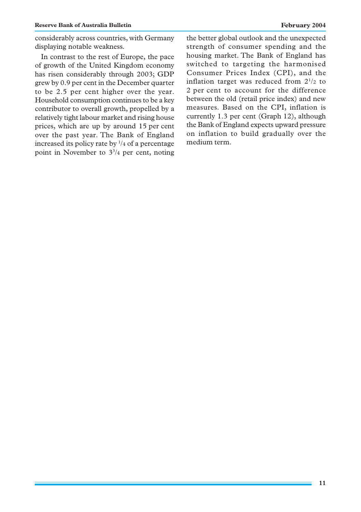considerably across countries, with Germany displaying notable weakness.

In contrast to the rest of Europe, the pace of growth of the United Kingdom economy has risen considerably through 2003; GDP grew by 0.9 per cent in the December quarter to be 2.5 per cent higher over the year. Household consumption continues to be a key contributor to overall growth, propelled by a relatively tight labour market and rising house prices, which are up by around 15 per cent over the past year. The Bank of England increased its policy rate by 1 /4 of a percentage point in November to  $3\frac{3}{4}$  per cent, noting the better global outlook and the unexpected strength of consumer spending and the housing market. The Bank of England has switched to targeting the harmonised Consumer Prices Index (CPI), and the inflation target was reduced from  $2^{1/2}$  to 2 per cent to account for the difference between the old (retail price index) and new measures. Based on the CPI, inflation is currently 1.3 per cent (Graph 12), although the Bank of England expects upward pressure on inflation to build gradually over the medium term.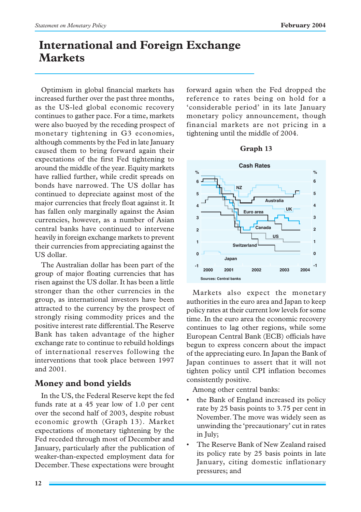# **International and Foreign Exchange Markets**

Optimism in global financial markets has increased further over the past three months, as the US-led global economic recovery continues to gather pace. For a time, markets were also buoyed by the receding prospect of monetary tightening in G3 economies, although comments by the Fed in late January caused them to bring forward again their expectations of the first Fed tightening to around the middle of the year. Equity markets have rallied further, while credit spreads on bonds have narrowed. The US dollar has continued to depreciate against most of the major currencies that freely float against it. It has fallen only marginally against the Asian currencies, however, as a number of Asian central banks have continued to intervene heavily in foreign exchange markets to prevent their currencies from appreciating against the US dollar.

The Australian dollar has been part of the group of major floating currencies that has risen against the US dollar. It has been a little stronger than the other currencies in the group, as international investors have been attracted to the currency by the prospect of strongly rising commodity prices and the positive interest rate differential. The Reserve Bank has taken advantage of the higher exchange rate to continue to rebuild holdings of international reserves following the interventions that took place between 1997 and 2001.

# **Money and bond yields**

In the US, the Federal Reserve kept the fed funds rate at a 45 year low of 1.0 per cent over the second half of 2003, despite robust economic growth (Graph 13). Market expectations of monetary tightening by the Fed receded through most of December and January, particularly after the publication of weaker-than-expected employment data for December. These expectations were brought forward again when the Fed dropped the reference to rates being on hold for a 'considerable period' in its late January monetary policy announcement, though financial markets are not pricing in a tightening until the middle of 2004.





Markets also expect the monetary authorities in the euro area and Japan to keep policy rates at their current low levels for some time. In the euro area the economic recovery continues to lag other regions, while some European Central Bank (ECB) officials have begun to express concern about the impact of the appreciating euro. In Japan the Bank of Japan continues to assert that it will not tighten policy until CPI inflation becomes consistently positive.

Among other central banks:

- the Bank of England increased its policy rate by 25 basis points to 3.75 per cent in November. The move was widely seen as unwinding the 'precautionary' cut in rates in July;
- The Reserve Bank of New Zealand raised its policy rate by 25 basis points in late January, citing domestic inflationary pressures; and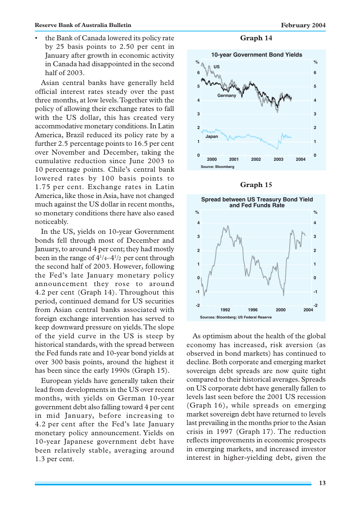• the Bank of Canada lowered its policy rate by 25 basis points to 2.50 per cent in January after growth in economic activity in Canada had disappointed in the second half of 2003.

Asian central banks have generally held official interest rates steady over the past three months, at low levels. Together with the policy of allowing their exchange rates to fall with the US dollar, this has created very accommodative monetary conditions. In Latin America, Brazil reduced its policy rate by a further 2.5 percentage points to 16.5 per cent over November and December, taking the cumulative reduction since June 2003 to 10 percentage points. Chile's central bank lowered rates by 100 basis points to 1.75 per cent. Exchange rates in Latin America, like those in Asia, have not changed much against the US dollar in recent months, so monetary conditions there have also eased noticeably.

In the US, yields on 10-year Government bonds fell through most of December and January, to around 4 per cent; they had mostly been in the range of  $4^{1}/_{4}$ - $4^{1}/_{2}$  per cent through the second half of 2003. However, following the Fed's late January monetary policy announcement they rose to around 4.2 per cent (Graph 14). Throughout this period, continued demand for US securities from Asian central banks associated with foreign exchange intervention has served to keep downward pressure on yields. The slope of the yield curve in the US is steep by historical standards, with the spread between the Fed funds rate and 10-year bond yields at over 300 basis points, around the highest it has been since the early 1990s (Graph 15).

European yields have generally taken their lead from developments in the US over recent months, with yields on German 10-year government debt also falling toward 4 per cent in mid January, before increasing to 4.2 per cent after the Fed's late January monetary policy announcement. Yields on 10-year Japanese government debt have been relatively stable, averaging around 1.3 per cent.

**Graph 14**







As optimism about the health of the global economy has increased, risk aversion (as observed in bond markets) has continued to decline. Both corporate and emerging market sovereign debt spreads are now quite tight compared to their historical averages. Spreads on US corporate debt have generally fallen to levels last seen before the 2001 US recession (Graph 16), while spreads on emerging market sovereign debt have returned to levels last prevailing in the months prior to the Asian crisis in 1997 (Graph 17). The reduction reflects improvements in economic prospects in emerging markets, and increased investor interest in higher-yielding debt, given the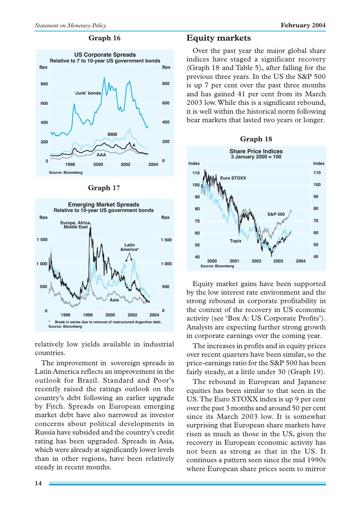### **Graph 16**



#### **Graph 17**



relatively low yields available in industrial countries.

The improvement in sovereign spreads in Latin America reflects an improvement in the outlook for Brazil. Standard and Poor's recently raised the ratings outlook on the country's debt following an earlier upgrade by Fitch. Spreads on European emerging market debt have also narrowed as investor concerns about political developments in Russia have subsided and the country's credit rating has been upgraded. Spreads in Asia, which were already at significantly lower levels than in other regions, have been relatively steady in recent months.

# **Equity markets**

Over the past year the major global share indices have staged a significant recovery (Graph 18 and Table 5), after falling for the previous three years. In the US the S&P 500 is up 7 per cent over the past three months and has gained 41 per cent from its March 2003 low. While this is a significant rebound, it is well within the historical norm following bear markets that lasted two years or longer.



Equity market gains have been supported by the low interest rate environment and the strong rebound in corporate profitability in the context of the recovery in US economic activity (see 'Box A: US Corporate Profits'). Analysts are expecting further strong growth in corporate earnings over the coming year.

The increases in profits and in equity prices over recent quarters have been similar, so the price-earnings ratio for the S&P 500 has been fairly steady, at a little under 30 (Graph 19).

The rebound in European and Japanese equities has been similar to that seen in the US. The Euro STOXX index is up 9 per cent over the past 3 months and around 50 per cent since its March 2003 low. It is somewhat surprising that European share markets have risen as much as those in the US, given the recovery in European economic activity has not been as strong as that in the US. It continues a pattern seen since the mid 1990s where European share prices seem to mirror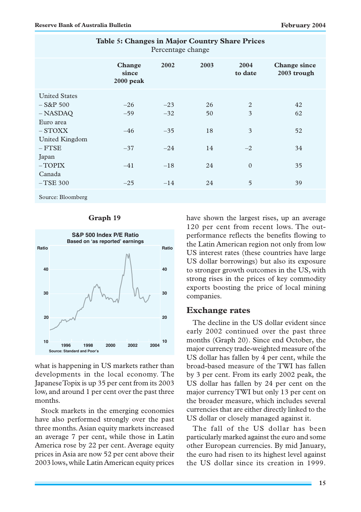| Percentage change    |                                     |       |      |                 |                                    |
|----------------------|-------------------------------------|-------|------|-----------------|------------------------------------|
|                      | <b>Change</b><br>since<br>2000 peak | 2002  | 2003 | 2004<br>to date | <b>Change since</b><br>2003 trough |
| <b>United States</b> |                                     |       |      |                 |                                    |
| $-$ S&P 500          | $-26$                               | $-23$ | 26   | 2               | 42                                 |
| $-$ NASDAQ           | $-59$                               | $-32$ | 50   | 3               | 62                                 |
| Euro area            |                                     |       |      |                 |                                    |
| $-$ STOXX            | $-46$                               | $-35$ | 18   | 3               | 52                                 |
| United Kingdom       |                                     |       |      |                 |                                    |
| $-$ FTSE             | $-37$                               | $-24$ | 14   | $-2$            | 34                                 |
| Japan                |                                     |       |      |                 |                                    |
| $-TOPIX$             | $-41$                               | $-18$ | 24   | $\Omega$        | 35                                 |
| Canada               |                                     |       |      |                 |                                    |
| $-$ TSE 300          | $-25$                               | $-14$ | 24   | 5               | 39                                 |
| Source: Bloomberg    |                                     |       |      |                 |                                    |

# **Table 5: Changes in Major Country Share Prices**

### **Graph 19**



what is happening in US markets rather than developments in the local economy. The Japanese Topix is up 35 per cent from its 2003 low, and around 1 per cent over the past three months.

Stock markets in the emerging economies have also performed strongly over the past three months. Asian equity markets increased an average 7 per cent, while those in Latin America rose by 22 per cent. Average equity prices in Asia are now 52 per cent above their 2003 lows, while Latin American equity prices

have shown the largest rises, up an average 120 per cent from recent lows. The outperformance reflects the benefits flowing to the Latin American region not only from low US interest rates (these countries have large US dollar borrowings) but also its exposure to stronger growth outcomes in the US, with strong rises in the prices of key commodity exports boosting the price of local mining companies.

### **Exchange rates**

The decline in the US dollar evident since early 2002 continued over the past three months (Graph 20). Since end October, the major currency trade-weighted measure of the US dollar has fallen by 4 per cent, while the broad-based measure of the TWI has fallen by 3 per cent. From its early 2002 peak, the US dollar has fallen by 24 per cent on the major currency TWI but only 13 per cent on the broader measure, which includes several currencies that are either directly linked to the US dollar or closely managed against it.

The fall of the US dollar has been particularly marked against the euro and some other European currencies. By mid January, the euro had risen to its highest level against the US dollar since its creation in 1999.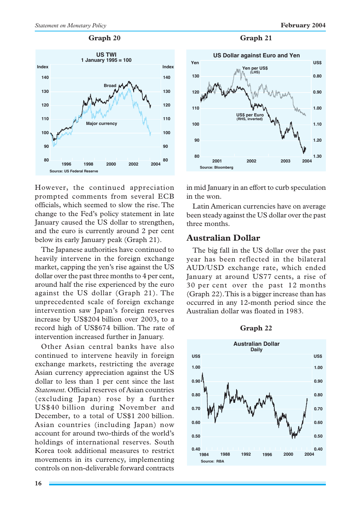

However, the continued appreciation prompted comments from several ECB officials, which seemed to slow the rise. The change to the Fed's policy statement in late January caused the US dollar to strengthen, and the euro is currently around 2 per cent below its early January peak (Graph 21).

The Japanese authorities have continued to heavily intervene in the foreign exchange market, capping the yen's rise against the US dollar over the past three months to 4 per cent, around half the rise experienced by the euro against the US dollar (Graph 21). The unprecedented scale of foreign exchange intervention saw Japan's foreign reserves increase by US\$204 billion over 2003, to a record high of US\$674 billion. The rate of intervention increased further in January.

Other Asian central banks have also continued to intervene heavily in foreign exchange markets, restricting the average Asian currency appreciation against the US dollar to less than 1 per cent since the last *Statement*. Official reserves of Asian countries (excluding Japan) rose by a further US\$40 billion during November and December, to a total of US\$1 200 billion. Asian countries (including Japan) now account for around two-thirds of the world's holdings of international reserves. South Korea took additional measures to restrict movements in its currency, implementing controls on non-deliverable forward contracts

### Graph 20 Graph 21



in mid January in an effort to curb speculation in the won.

Latin American currencies have on average been steady against the US dollar over the past three months.

# **Australian Dollar**

The big fall in the US dollar over the past year has been reflected in the bilateral AUD/USD exchange rate, which ended January at around US77 cents, a rise of 30 per cent over the past 12 months (Graph 22). This is a bigger increase than has occurred in any 12-month period since the Australian dollar was floated in 1983.

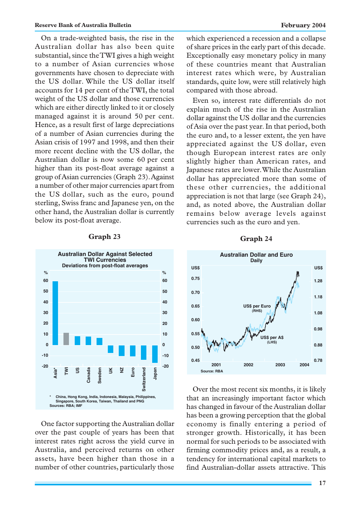On a trade-weighted basis, the rise in the Australian dollar has also been quite substantial, since the TWI gives a high weight to a number of Asian currencies whose governments have chosen to depreciate with the US dollar. While the US dollar itself accounts for 14 per cent of the TWI, the total weight of the US dollar and those currencies which are either directly linked to it or closely managed against it is around 50 per cent. Hence, as a result first of large depreciations of a number of Asian currencies during the Asian crisis of 1997 and 1998, and then their more recent decline with the US dollar, the Australian dollar is now some 60 per cent higher than its post-float average against a group of Asian currencies (Graph 23). Against a number of other major currencies apart from the US dollar, such as the euro, pound sterling, Swiss franc and Japanese yen, on the other hand, the Australian dollar is currently below its post-float average.



One factor supporting the Australian dollar over the past couple of years has been that interest rates right across the yield curve in Australia, and perceived returns on other assets, have been higher than those in a number of other countries, particularly those

which experienced a recession and a collapse of share prices in the early part of this decade. Exceptionally easy monetary policy in many of these countries meant that Australian interest rates which were, by Australian standards, quite low, were still relatively high compared with those abroad.

Even so, interest rate differentials do not explain much of the rise in the Australian dollar against the US dollar and the currencies of Asia over the past year. In that period, both the euro and, to a lesser extent, the yen have appreciated against the US dollar, even though European interest rates are only slightly higher than American rates, and Japanese rates are lower. While the Australian dollar has appreciated more than some of these other currencies, the additional appreciation is not that large (see Graph 24), and, as noted above, the Australian dollar remains below average levels against currencies such as the euro and yen.





Over the most recent six months, it is likely that an increasingly important factor which has changed in favour of the Australian dollar has been a growing perception that the global economy is finally entering a period of stronger growth. Historically, it has been normal for such periods to be associated with firming commodity prices and, as a result, a tendency for international capital markets to find Australian-dollar assets attractive. This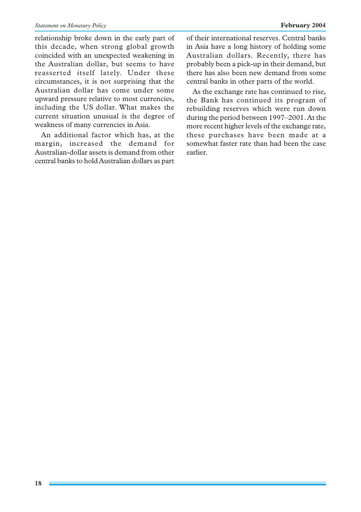relationship broke down in the early part of this decade, when strong global growth coincided with an unexpected weakening in the Australian dollar, but seems to have reasserted itself lately. Under these circumstances, it is not surprising that the Australian dollar has come under some upward pressure relative to most currencies, including the US dollar. What makes the current situation unusual is the degree of weakness of many currencies in Asia.

An additional factor which has, at the margin, increased the demand for Australian-dollar assets is demand from other central banks to hold Australian dollars as part of their international reserves. Central banks in Asia have a long history of holding some Australian dollars. Recently, there has probably been a pick-up in their demand, but there has also been new demand from some central banks in other parts of the world.

As the exchange rate has continued to rise, the Bank has continued its program of rebuilding reserves which were run down during the period between 1997–2001. At the more recent higher levels of the exchange rate, these purchases have been made at a somewhat faster rate than had been the case earlier.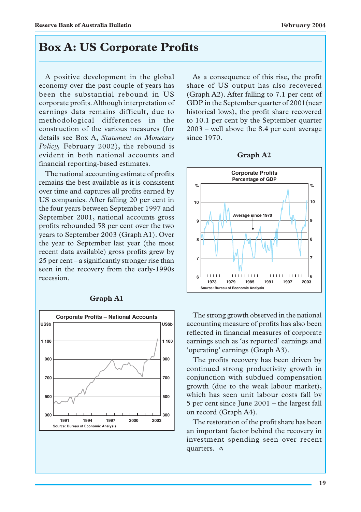# **Box A: US Corporate Profits**

A positive development in the global economy over the past couple of years has been the substantial rebound in US corporate profits. Although interpretation of earnings data remains difficult, due to methodological differences in the construction of the various measures (for details see Box A, *Statement on Monetary Policy,* February 2002), the rebound is evident in both national accounts and financial reporting-based estimates.

The national accounting estimate of profits remains the best available as it is consistent over time and captures all profits earned by US companies. After falling 20 per cent in the four years between September 1997 and September 2001, national accounts gross profits rebounded 58 per cent over the two years to September 2003 (Graph A1). Over the year to September last year (the most recent data available) gross profits grew by 25 per cent – a significantly stronger rise than seen in the recovery from the early-1990s recession.



### **Graph A1**

As a consequence of this rise, the profit share of US output has also recovered (Graph A2). After falling to 7.1 per cent of GDP in the September quarter of 2001(near historical lows), the profit share recovered to 10.1 per cent by the September quarter 2003 – well above the 8.4 per cent average since 1970.





The strong growth observed in the national accounting measure of profits has also been reflected in financial measures of corporate earnings such as 'as reported' earnings and 'operating' earnings (Graph A3).

The profits recovery has been driven by continued strong productivity growth in conjunction with subdued compensation growth (due to the weak labour market), which has seen unit labour costs fall by 5 per cent since June 2001 – the largest fall on record (Graph A4).

The restoration of the profit share has been an important factor behind the recovery in investment spending seen over recent quarters. A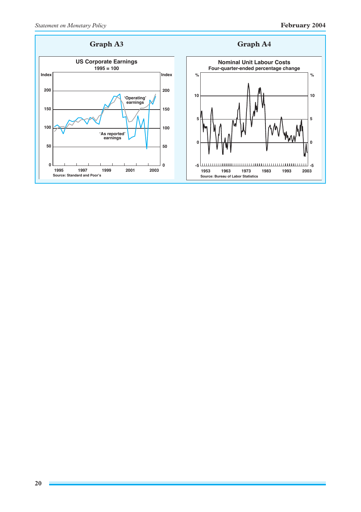# **Graph A3 Graph A4**



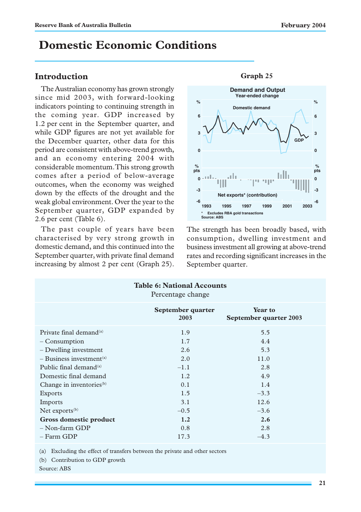# **Domestic Economic Conditions**

# **Introduction**

The Australian economy has grown strongly since mid 2003, with forward-looking indicators pointing to continuing strength in the coming year. GDP increased by 1.2 per cent in the September quarter, and while GDP figures are not yet available for the December quarter, other data for this period are consistent with above-trend growth, and an economy entering 2004 with considerable momentum. This strong growth comes after a period of below-average outcomes, when the economy was weighed down by the effects of the drought and the weak global environment. Over the year to the September quarter, GDP expanded by 2.6 per cent (Table 6).

The past couple of years have been characterised by very strong growth in domestic demand, and this continued into the September quarter, with private final demand increasing by almost 2 per cent (Graph 25).



### **Graph 25**

The strength has been broadly based, with consumption, dwelling investment and business investment all growing at above-trend rates and recording significant increases in the September quarter.

| <b>Table 6: National Accounts</b><br>Percentage change |                           |                                          |  |  |  |  |
|--------------------------------------------------------|---------------------------|------------------------------------------|--|--|--|--|
|                                                        | September quarter<br>2003 | <b>Year to</b><br>September quarter 2003 |  |  |  |  |
| Private final demand <sup>(a)</sup>                    | 1.9                       | 5.5                                      |  |  |  |  |
| – Consumption                                          | 1.7                       | 4.4                                      |  |  |  |  |
| - Dwelling investment                                  | 2.6                       | 5.3                                      |  |  |  |  |
| $-$ Business investment <sup>(a)</sup>                 | 2.0                       | 11.0                                     |  |  |  |  |
| Public final demand $^{(a)}$                           | $-1.1$                    | 2.8                                      |  |  |  |  |
| Domestic final demand                                  | 1.2                       | 4.9                                      |  |  |  |  |
| Change in inventories <sup>(b)</sup>                   | 0.1                       | 1.4                                      |  |  |  |  |
| Exports                                                | 1.5                       | $-3.3$                                   |  |  |  |  |
| Imports                                                | 3.1                       | 12.6                                     |  |  |  |  |
| Net exports $(b)$                                      | $-0.5$                    | $-3.6$                                   |  |  |  |  |
| Gross domestic product                                 | 1.2                       | 2.6                                      |  |  |  |  |
| $-$ Non-farm GDP                                       | 0.8                       | 2.8                                      |  |  |  |  |
| - Farm GDP                                             | 17.3                      | $-4.3$                                   |  |  |  |  |

(a) Excluding the effect of transfers between the private and other sectors

(b) Contribution to GDP growth

Source: ABS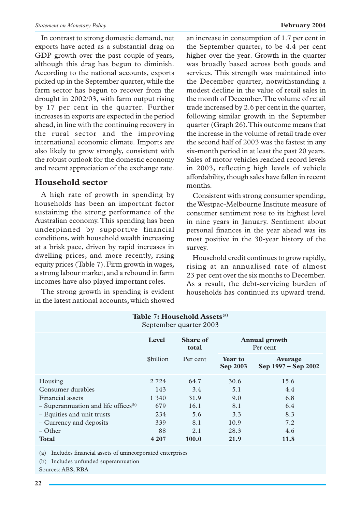In contrast to strong domestic demand, net exports have acted as a substantial drag on GDP growth over the past couple of years, although this drag has begun to diminish. According to the national accounts, exports picked up in the September quarter, while the farm sector has begun to recover from the drought in 2002/03, with farm output rising by 17 per cent in the quarter. Further increases in exports are expected in the period ahead, in line with the continuing recovery in the rural sector and the improving international economic climate. Imports are also likely to grow strongly, consistent with the robust outlook for the domestic economy and recent appreciation of the exchange rate.

# **Household sector**

A high rate of growth in spending by households has been an important factor sustaining the strong performance of the Australian economy. This spending has been underpinned by supportive financial conditions, with household wealth increasing at a brisk pace, driven by rapid increases in dwelling prices, and more recently, rising equity prices (Table 7). Firm growth in wages, a strong labour market, and a rebound in farm incomes have also played important roles.

The strong growth in spending is evident in the latest national accounts, which showed an increase in consumption of 1.7 per cent in the September quarter, to be 4.4 per cent higher over the year. Growth in the quarter was broadly based across both goods and services. This strength was maintained into the December quarter, notwithstanding a modest decline in the value of retail sales in the month of December. The volume of retail trade increased by 2.6 per cent in the quarter, following similar growth in the September quarter (Graph 26). This outcome means that the increase in the volume of retail trade over the second half of 2003 was the fastest in any six-month period in at least the past 20 years. Sales of motor vehicles reached record levels in 2003, reflecting high levels of vehicle affordability, though sales have fallen in recent months.

Consistent with strong consumer spending, the Westpac-Melbourne Institute measure of consumer sentiment rose to its highest level in nine years in January. Sentiment about personal finances in the year ahead was its most positive in the 30-year history of the survey.

Household credit continues to grow rapidly, rising at an annualised rate of almost 23 per cent over the six months to December. As a result, the debt-servicing burden of households has continued its upward trend.

| Table 7: Household Assets <sup>(a)</sup><br>September quarter 2003 |                                                                       |          |                            |                                |  |  |
|--------------------------------------------------------------------|-----------------------------------------------------------------------|----------|----------------------------|--------------------------------|--|--|
|                                                                    | <b>Level</b><br>Share of<br><b>Annual growth</b><br>Per cent<br>total |          |                            |                                |  |  |
|                                                                    | \$billion                                                             | Per cent | Year to<br><b>Sep 2003</b> | Average<br>Sep 1997 – Sep 2002 |  |  |
| Housing                                                            | 2 7 2 4                                                               | 64.7     | 30.6                       | 15.6                           |  |  |
| Consumer durables                                                  | 143                                                                   | 3.4      | 5.1                        | 4.4                            |  |  |
| Financial assets                                                   | 1 340                                                                 | 31.9     | 9.0                        | 6.8                            |  |  |
| $-$ Superannuation and life offices <sup>(b)</sup>                 | 679                                                                   | 16.1     | 8.1                        | 6.4                            |  |  |
| - Equities and unit trusts                                         | 234                                                                   | 5.6      | 3.3                        | 8.3                            |  |  |
| – Currency and deposits                                            | 339                                                                   | 8.1      | 10.9                       | 7.2                            |  |  |
| $-$ Other                                                          | 88                                                                    | 2.1      | 28.3                       | 4.6                            |  |  |
| <b>Total</b>                                                       | 4 207                                                                 | 100.0    | 21.9                       | 11.8                           |  |  |

(a) Includes financial assets of unincorporated enterprises

(b) Includes unfunded superannuation

Sources: ABS; RBA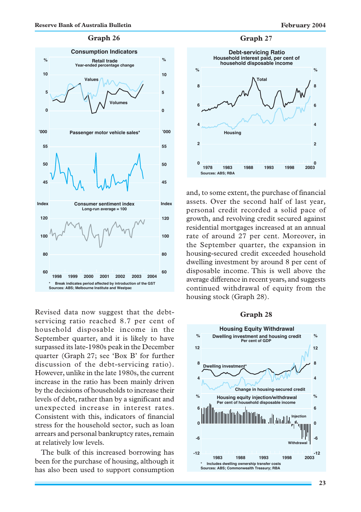

Revised data now suggest that the debtservicing ratio reached 8.7 per cent of household disposable income in the September quarter, and it is likely to have surpassed its late-1980s peak in the December quarter (Graph 27; see 'Box B' for further discussion of the debt-servicing ratio). However, unlike in the late 1980s, the current increase in the ratio has been mainly driven by the decisions of households to increase their levels of debt, rather than by a significant and unexpected increase in interest rates. Consistent with this, indicators of financial stress for the household sector, such as loan arrears and personal bankruptcy rates, remain at relatively low levels.

The bulk of this increased borrowing has been for the purchase of housing, although it has also been used to support consumption



and, to some extent, the purchase of financial assets. Over the second half of last year, personal credit recorded a solid pace of growth, and revolving credit secured against residential mortgages increased at an annual rate of around 27 per cent. Moreover, in the September quarter, the expansion in housing-secured credit exceeded household dwelling investment by around 8 per cent of disposable income. This is well above the average difference in recent years, and suggests continued withdrawal of equity from the housing stock (Graph 28).

#### **Graph 28**

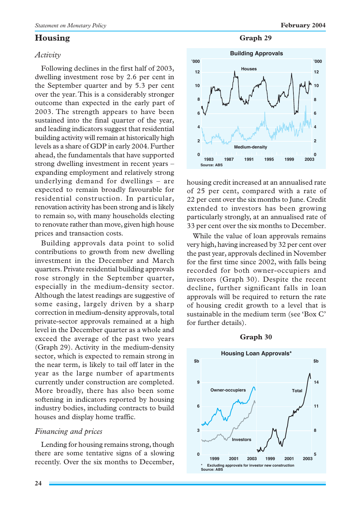# **Housing**

### *Activity*

Following declines in the first half of 2003, dwelling investment rose by 2.6 per cent in the September quarter and by 5.3 per cent over the year. This is a considerably stronger outcome than expected in the early part of 2003. The strength appears to have been sustained into the final quarter of the year, and leading indicators suggest that residential building activity will remain at historically high levels as a share of GDP in early 2004. Further ahead, the fundamentals that have supported strong dwelling investment in recent years – expanding employment and relatively strong underlying demand for dwellings – are expected to remain broadly favourable for residential construction. In particular, renovation activity has been strong and is likely to remain so, with many households electing to renovate rather than move, given high house prices and transaction costs.

Building approvals data point to solid contributions to growth from new dwelling investment in the December and March quarters. Private residential building approvals rose strongly in the September quarter, especially in the medium-density sector. Although the latest readings are suggestive of some easing, largely driven by a sharp correction in medium-density approvals, total private-sector approvals remained at a high level in the December quarter as a whole and exceed the average of the past two years (Graph 29). Activity in the medium-density sector, which is expected to remain strong in the near term, is likely to tail off later in the year as the large number of apartments currently under construction are completed. More broadly, there has also been some softening in indicators reported by housing industry bodies, including contracts to build houses and display home traffic.

### *Financing and prices*

Lending for housing remains strong, though there are some tentative signs of a slowing recently. Over the six months to December,

**Graph 29**



housing credit increased at an annualised rate of 25 per cent, compared with a rate of 22 per cent over the six months to June. Credit extended to investors has been growing particularly strongly, at an annualised rate of 33 per cent over the six months to December.

While the value of loan approvals remains very high, having increased by 32 per cent over the past year, approvals declined in November for the first time since 2002, with falls being recorded for both owner-occupiers and investors (Graph 30). Despite the recent decline, further significant falls in loan approvals will be required to return the rate of housing credit growth to a level that is sustainable in the medium term (see 'Box C' for further details).



### **Graph 30**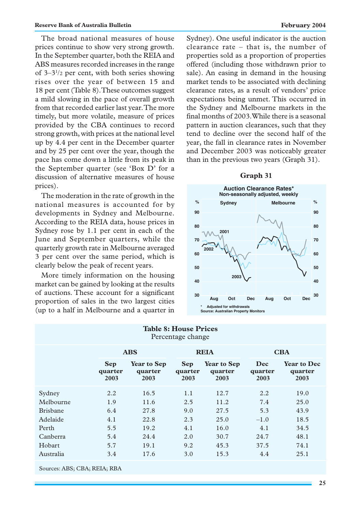The broad national measures of house prices continue to show very strong growth. In the September quarter, both the REIA and ABS measures recorded increases in the range of 3–31 /2 per cent, with both series showing rises over the year of between 15 and 18 per cent (Table 8). These outcomes suggest a mild slowing in the pace of overall growth from that recorded earlier last year. The more timely, but more volatile, measure of prices provided by the CBA continues to record strong growth, with prices at the national level up by 4.4 per cent in the December quarter and by 25 per cent over the year, though the pace has come down a little from its peak in the September quarter (see 'Box D' for a discussion of alternative measures of house prices).

The moderation in the rate of growth in the national measures is accounted for by developments in Sydney and Melbourne. According to the REIA data, house prices in Sydney rose by 1.1 per cent in each of the June and September quarters, while the quarterly growth rate in Melbourne averaged 3 per cent over the same period, which is clearly below the peak of recent years.

More timely information on the housing market can be gained by looking at the results of auctions. These account for a significant proportion of sales in the two largest cities (up to a half in Melbourne and a quarter in Sydney). One useful indicator is the auction clearance rate – that is, the number of properties sold as a proportion of properties offered (including those withdrawn prior to sale). An easing in demand in the housing market tends to be associated with declining clearance rates, as a result of vendors' price expectations being unmet. This occurred in the Sydney and Melbourne markets in the final months of 2003. While there is a seasonal pattern in auction clearances, such that they tend to decline over the second half of the year, the fall in clearance rates in November and December 2003 was noticeably greater than in the previous two years (Graph 31).

### **Graph 31**



| <b>Table 8: House Prices</b><br>Percentage change |                               |                                       |                               |                                       |                        |                                       |
|---------------------------------------------------|-------------------------------|---------------------------------------|-------------------------------|---------------------------------------|------------------------|---------------------------------------|
|                                                   |                               | <b>ABS</b>                            | <b>REIA</b>                   |                                       | <b>CBA</b>             |                                       |
|                                                   | <b>Sep</b><br>quarter<br>2003 | <b>Year to Sep</b><br>quarter<br>2003 | <b>Sep</b><br>quarter<br>2003 | <b>Year to Sep</b><br>quarter<br>2003 | Dec<br>quarter<br>2003 | <b>Year to Dec</b><br>quarter<br>2003 |
| Sydney                                            | 2.2                           | 16.5                                  | 1.1                           | 12.7                                  | 2.2                    | 19.0                                  |
| Melbourne                                         | 1.9                           | 11.6                                  | 2.5                           | 11.2                                  | 7.4                    | 25.0                                  |
| <b>Brishane</b>                                   | 6.4                           | 27.8                                  | 9.0                           | 27.5                                  | 5.3                    | 43.9                                  |
| Adelaide                                          | 4.1                           | 22.8                                  | 2.3                           | 25.0                                  | $-1.0$                 | 18.5                                  |
| Perth                                             | 5.5                           | 19.2                                  | 4.1                           | 16.0                                  | 4.1                    | 34.5                                  |
| Canberra                                          | 5.4                           | 24.4                                  | 2.0                           | 30.7                                  | 24.7                   | 48.1                                  |
| Hobart                                            | 5.7                           | 19.1                                  | 9.2                           | 45.3                                  | 37.5                   | 74.1                                  |
| Australia                                         | 3.4                           | 17.6                                  | 3.0                           | 15.3                                  | 4.4                    | 25.1                                  |
| Sources: ABS; CBA; REIA; RBA                      |                               |                                       |                               |                                       |                        |                                       |

**25**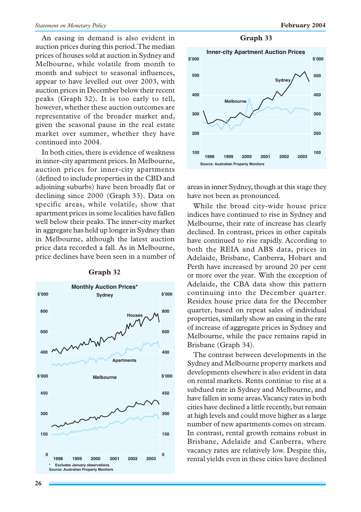An easing in demand is also evident in auction prices during this period. The median prices of houses sold at auction in Sydney and Melbourne, while volatile from month to month and subject to seasonal influences, appear to have levelled out over 2003, with auction prices in December below their recent peaks (Graph 32). It is too early to tell, however, whether these auction outcomes are representative of the broader market and, given the seasonal pause in the real estate market over summer, whether they have continued into 2004.

In both cities, there is evidence of weakness in inner-city apartment prices. In Melbourne, auction prices for inner-city apartments (defined to include properties in the CBD and adjoining suburbs) have been broadly flat or declining since 2000 (Graph 33). Data on specific areas, while volatile, show that apartment prices in some localities have fallen well below their peaks. The inner-city market in aggregate has held up longer in Sydney than in Melbourne, although the latest auction price data recorded a fall. As in Melbourne, price declines have been seen in a number of



### **Graph 32**

**Graph 33**



areas in inner Sydney, though at this stage they have not been as pronounced.

While the broad city-wide house price indices have continued to rise in Sydney and Melbourne, their rate of increase has clearly declined. In contrast, prices in other capitals have continued to rise rapidly. According to both the REIA and ABS data, prices in Adelaide, Brisbane, Canberra, Hobart and Perth have increased by around 20 per cent or more over the year. With the exception of Adelaide, the CBA data show this pattern continuing into the December quarter. Residex house price data for the December quarter, based on repeat sales of individual properties, similarly show an easing in the rate of increase of aggregate prices in Sydney and Melbourne, while the pace remains rapid in Brisbane (Graph 34).

The contrast between developments in the Sydney and Melbourne property markets and developments elsewhere is also evident in data on rental markets. Rents continue to rise at a subdued rate in Sydney and Melbourne, and have fallen in some areas. Vacancy rates in both cities have declined a little recently, but remain at high levels and could move higher as a large number of new apartments comes on stream. In contrast, rental growth remains robust in Brisbane, Adelaide and Canberra, where vacancy rates are relatively low. Despite this, rental yields even in these cities have declined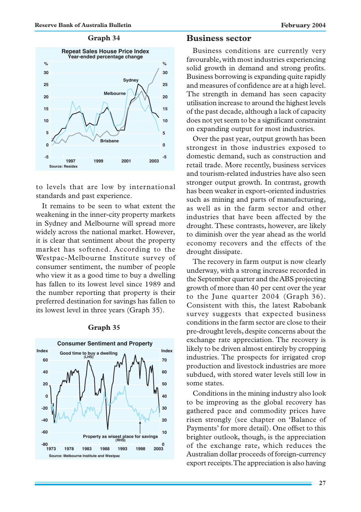### **Graph 34**



to levels that are low by international standards and past experience.

It remains to be seen to what extent the weakening in the inner-city property markets in Sydney and Melbourne will spread more widely across the national market. However, it is clear that sentiment about the property market has softened. According to the Westpac-Melbourne Institute survey of consumer sentiment, the number of people who view it as a good time to buy a dwelling has fallen to its lowest level since 1989 and the number reporting that property is their preferred destination for savings has fallen to its lowest level in three years (Graph 35).



### **Graph 35**

### **Business sector**

Business conditions are currently very favourable, with most industries experiencing solid growth in demand and strong profits. Business borrowing is expanding quite rapidly and measures of confidence are at a high level. The strength in demand has seen capacity utilisation increase to around the highest levels of the past decade, although a lack of capacity does not yet seem to be a significant constraint on expanding output for most industries.

Over the past year, output growth has been strongest in those industries exposed to domestic demand, such as construction and retail trade. More recently, business services and tourism-related industries have also seen stronger output growth. In contrast, growth has been weaker in export-oriented industries such as mining and parts of manufacturing, as well as in the farm sector and other industries that have been affected by the drought. These contrasts, however, are likely to diminish over the year ahead as the world economy recovers and the effects of the drought dissipate.

The recovery in farm output is now clearly underway, with a strong increase recorded in the September quarter and the ABS projecting growth of more than 40 per cent over the year to the June quarter 2004 (Graph 36). Consistent with this, the latest Rabobank survey suggests that expected business conditions in the farm sector are close to their pre-drought levels, despite concerns about the exchange rate appreciation. The recovery is likely to be driven almost entirely by cropping industries. The prospects for irrigated crop production and livestock industries are more subdued, with stored water levels still low in some states.

Conditions in the mining industry also look to be improving as the global recovery has gathered pace and commodity prices have risen strongly (see chapter on 'Balance of Payments' for more detail). One offset to this brighter outlook, though, is the appreciation of the exchange rate, which reduces the Australian dollar proceeds of foreign-currency export receipts. The appreciation is also having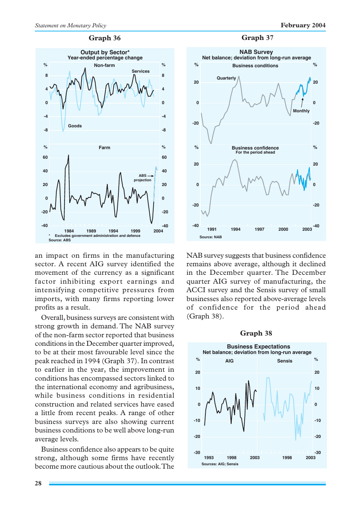### **Graph 36**



an impact on firms in the manufacturing sector. A recent AIG survey identified the movement of the currency as a significant factor inhibiting export earnings and intensifying competitive pressures from imports, with many firms reporting lower profits as a result.

Overall, business surveys are consistent with strong growth in demand. The NAB survey of the non-farm sector reported that business conditions in the December quarter improved, to be at their most favourable level since the peak reached in 1994 (Graph 37). In contrast to earlier in the year, the improvement in conditions has encompassed sectors linked to the international economy and agribusiness, while business conditions in residential construction and related services have eased a little from recent peaks. A range of other business surveys are also showing current business conditions to be well above long-run average levels.

Business confidence also appears to be quite strong, although some firms have recently become more cautious about the outlook. The





NAB survey suggests that business confidence remains above average, although it declined in the December quarter. The December quarter AIG survey of manufacturing, the ACCI survey and the Sensis survey of small businesses also reported above-average levels of confidence for the period ahead (Graph 38).

### **Graph 38**

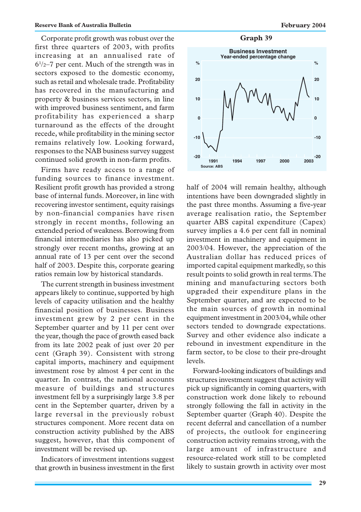Corporate profit growth was robust over the first three quarters of 2003, with profits increasing at an annualised rate of 61 /2–7 per cent. Much of the strength was in sectors exposed to the domestic economy, such as retail and wholesale trade. Profitability has recovered in the manufacturing and property & business services sectors, in line with improved business sentiment, and farm profitability has experienced a sharp turnaround as the effects of the drought recede, while profitability in the mining sector remains relatively low. Looking forward, responses to the NAB business survey suggest continued solid growth in non-farm profits.

Firms have ready access to a range of funding sources to finance investment. Resilient profit growth has provided a strong base of internal funds. Moreover, in line with recovering investor sentiment, equity raisings by non-financial companies have risen strongly in recent months, following an extended period of weakness. Borrowing from financial intermediaries has also picked up strongly over recent months, growing at an annual rate of 13 per cent over the second half of 2003. Despite this, corporate gearing ratios remain low by historical standards.

The current strength in business investment appears likely to continue, supported by high levels of capacity utilisation and the healthy financial position of businesses. Business investment grew by 2 per cent in the September quarter and by 11 per cent over the year, though the pace of growth eased back from its late 2002 peak of just over 20 per cent (Graph 39). Consistent with strong capital imports, machinery and equipment investment rose by almost 4 per cent in the quarter. In contrast, the national accounts measure of buildings and structures investment fell by a surprisingly large 3.8 per cent in the September quarter, driven by a large reversal in the previously robust structures component. More recent data on construction activity published by the ABS suggest, however, that this component of investment will be revised up.

Indicators of investment intentions suggest that growth in business investment in the first

**Graph 39**



half of 2004 will remain healthy, although intentions have been downgraded slightly in the past three months. Assuming a five-year average realisation ratio, the September quarter ABS capital expenditure (Capex) survey implies a 4.6 per cent fall in nominal investment in machinery and equipment in 2003/04. However, the appreciation of the Australian dollar has reduced prices of imported capital equipment markedly, so this result points to solid growth in real terms. The mining and manufacturing sectors both upgraded their expenditure plans in the September quarter, and are expected to be the main sources of growth in nominal equipment investment in 2003/04, while other sectors tended to downgrade expectations. Survey and other evidence also indicate a rebound in investment expenditure in the farm sector, to be close to their pre-drought levels.

Forward-looking indicators of buildings and structures investment suggest that activity will pick up significantly in coming quarters, with construction work done likely to rebound strongly following the fall in activity in the September quarter (Graph 40). Despite the recent deferral and cancellation of a number of projects, the outlook for engineering construction activity remains strong, with the large amount of infrastructure and resource-related work still to be completed likely to sustain growth in activity over most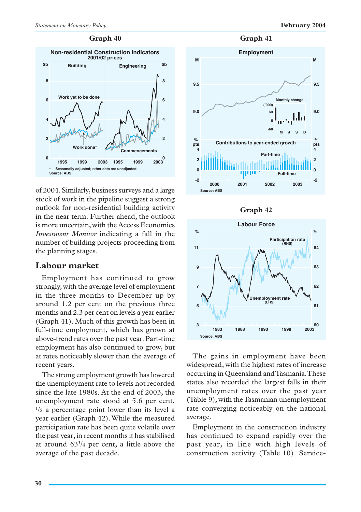### **Graph 40**



of 2004. Similarly, business surveys and a large stock of work in the pipeline suggest a strong outlook for non-residential building activity in the near term. Further ahead, the outlook is more uncertain, with the Access Economics *Investment Monitor* indicating a fall in the number of building projects proceeding from the planning stages.

# **Labour market**

Employment has continued to grow strongly, with the average level of employment in the three months to December up by around 1.2 per cent on the previous three months and 2.3 per cent on levels a year earlier (Graph 41). Much of this growth has been in full-time employment, which has grown at above-trend rates over the past year. Part-time employment has also continued to grow, but at rates noticeably slower than the average of recent years.

The strong employment growth has lowered the unemployment rate to levels not recorded since the late 1980s. At the end of 2003, the unemployment rate stood at 5.6 per cent, 1 /2 a percentage point lower than its level a year earlier (Graph 42). While the measured participation rate has been quite volatile over the past year, in recent months it has stabilised at around  $63<sup>3</sup>/4$  per cent, a little above the average of the past decade.







The gains in employment have been widespread, with the highest rates of increase occurring in Queensland and Tasmania. These states also recorded the largest falls in their unemployment rates over the past year (Table 9), with the Tasmanian unemployment rate converging noticeably on the national average.

Employment in the construction industry has continued to expand rapidly over the past year, in line with high levels of construction activity (Table 10). Service-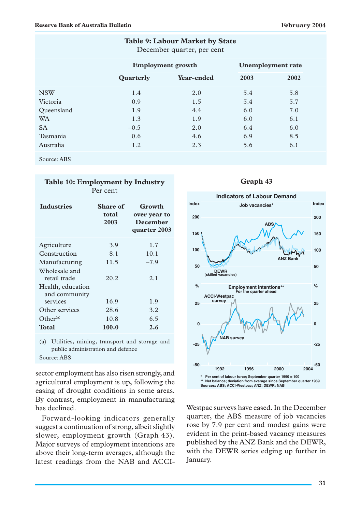| Table 9: Labour Market by State<br>December quarter, per cent |               |                                                      |      |      |  |  |  |
|---------------------------------------------------------------|---------------|------------------------------------------------------|------|------|--|--|--|
|                                                               |               | <b>Unemployment rate</b><br><b>Employment growth</b> |      |      |  |  |  |
|                                                               | Quarterly     | Year-ended                                           | 2003 | 2002 |  |  |  |
| <b>NSW</b>                                                    | 1.4           | 2.0                                                  | 5.4  | 5.8  |  |  |  |
| Victoria                                                      | 0.9           | 1.5                                                  | 5.4  | 5.7  |  |  |  |
| Oueensland                                                    | 1.9           | 4.4                                                  | 6.0  | 7.0  |  |  |  |
| <b>WA</b>                                                     | 1.3           | 1.9                                                  | 6.0  | 6.1  |  |  |  |
| <b>SA</b>                                                     | $-0.5$        | 2.0                                                  | 6.4  | 6.0  |  |  |  |
| Tasmania                                                      | $0.6^{\circ}$ | 4.6                                                  | 6.9  | 8.5  |  |  |  |
| Australia                                                     | 1.2           | 2.3                                                  | 5.6  | 6.1  |  |  |  |
| Source: ABS                                                   |               |                                                      |      |      |  |  |  |

| Table 10: Employment by Industry<br>Per cent |                           |                                                           |  |  |  |
|----------------------------------------------|---------------------------|-----------------------------------------------------------|--|--|--|
| <b>Industries</b>                            | Share of<br>total<br>2003 | Growth<br>over year to<br><b>December</b><br>quarter 2003 |  |  |  |
| Agriculture                                  | 3.9                       | 1.7                                                       |  |  |  |
| Construction                                 | 8.1                       | 10.1                                                      |  |  |  |
| Manufacturing<br>Wholesale and               | 11.5                      | $-7.9$                                                    |  |  |  |
| retail trade                                 | 20.2                      | 2.1                                                       |  |  |  |
| Health, education<br>and community           |                           |                                                           |  |  |  |
| services                                     | 16.9                      | 1.9                                                       |  |  |  |
| Other services                               | 28.6                      | 3.2                                                       |  |  |  |
| Other <sup>(a)</sup>                         | 10.8                      | 6.5                                                       |  |  |  |
| <b>Total</b>                                 | 100.0                     | 2.6                                                       |  |  |  |

(a) Utilities, mining, transport and storage and public administration and defence Source: ABS

sector employment has also risen strongly, and agricultural employment is up, following the easing of drought conditions in some areas. By contrast, employment in manufacturing has declined.

Forward-looking indicators generally suggest a continuation of strong, albeit slightly slower, employment growth (Graph 43). Major surveys of employment intentions are above their long-term averages, although the latest readings from the NAB and ACCI-

# **Graph 43**



Westpac surveys have eased. In the December quarter, the ABS measure of job vacancies rose by 7.9 per cent and modest gains were evident in the print-based vacancy measures published by the ANZ Bank and the DEWR, with the DEWR series edging up further in January.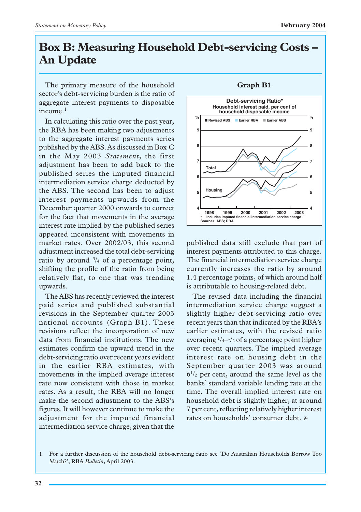# **Box B: Measuring Household Debt-servicing Costs – An Update**

The primary measure of the household sector's debt-servicing burden is the ratio of aggregate interest payments to disposable income.<sup>1</sup>

In calculating this ratio over the past year, the RBA has been making two adjustments to the aggregate interest payments series published by the ABS. As discussed in Box C in the May 2003 *Statement*, the first adjustment has been to add back to the published series the imputed financial intermediation service charge deducted by the ABS. The second has been to adjust interest payments upwards from the December quarter 2000 onwards to correct for the fact that movements in the average interest rate implied by the published series appeared inconsistent with movements in market rates. Over 2002/03, this second adjustment increased the total debt-servicing ratio by around  $\frac{3}{4}$  of a percentage point, shifting the profile of the ratio from being relatively flat, to one that was trending upwards.

The ABS has recently reviewed the interest paid series and published substantial revisions in the September quarter 2003 national accounts (Graph B1). These revisions reflect the incorporation of new data from financial institutions. The new estimates confirm the upward trend in the debt-servicing ratio over recent years evident in the earlier RBA estimates, with movements in the implied average interest rate now consistent with those in market rates. As a result, the RBA will no longer make the second adjustment to the ABS's figures. It will however continue to make the adjustment for the imputed financial intermediation service charge, given that the

### **Graph B1**



published data still exclude that part of interest payments attributed to this charge. The financial intermediation service charge currently increases the ratio by around 1.4 percentage points, of which around half is attributable to housing-related debt.

The revised data including the financial intermediation service charge suggest a slightly higher debt-servicing ratio over recent years than that indicated by the RBA's earlier estimates, with the revised ratio averaging 1 /4–1 /2 of a percentage point higher over recent quarters. The implied average interest rate on housing debt in the September quarter 2003 was around  $6^{1/2}$  per cent, around the same level as the banks' standard variable lending rate at the time. The overall implied interest rate on household debt is slightly higher, at around 7 per cent, reflecting relatively higher interest rates on households' consumer debt. <sup>R</sup>

<sup>1.</sup> For a further discussion of the household debt-servicing ratio see 'Do Australian Households Borrow Too Much?', RBA *Bulletin*, April 2003.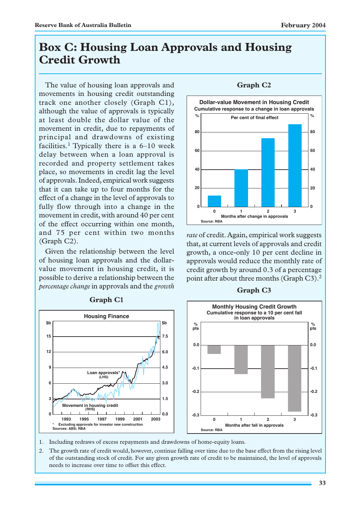# **Box C: Housing Loan Approvals and Housing Credit Growth**

The value of housing loan approvals and movements in housing credit outstanding track one another closely (Graph C1), although the value of approvals is typically at least double the dollar value of the movement in credit, due to repayments of principal and drawdowns of existing facilities.<sup>1</sup> Typically there is a  $6-10$  week delay between when a loan approval is recorded and property settlement takes place, so movements in credit lag the level of approvals. Indeed, empirical work suggests that it can take up to four months for the effect of a change in the level of approvals to fully flow through into a change in the movement in credit, with around 40 per cent of the effect occurring within one month, and 75 per cent within two months (Graph C2).

Given the relationship between the level of housing loan approvals and the dollarvalue movement in housing credit, it is possible to derive a relationship between the *percentage change* in approvals and the *growth*



### **Graph C1**

## **Graph C2**



*rate* of credit. Again, empirical work suggests that, at current levels of approvals and credit growth, a once-only 10 per cent decline in approvals would reduce the monthly rate of credit growth by around 0.3 of a percentage point after about three months (Graph C3).<sup>2</sup>

### **Graph C3**



- 1. Including redraws of excess repayments and drawdowns of home-equity loans.
- 2. The growth rate of credit would, however, continue falling over time due to the base effect from the rising level of the outstanding stock of credit. For any given growth rate of credit to be maintained, the level of approvals needs to increase over time to offset this effect.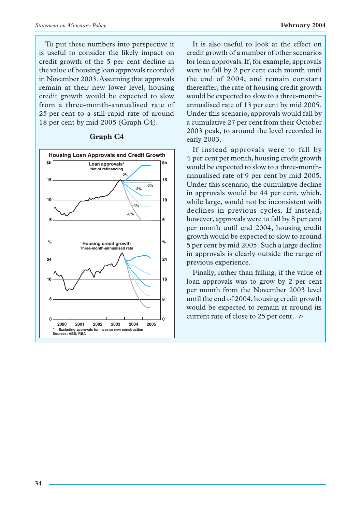To put these numbers into perspective it is useful to consider the likely impact on credit growth of the 5 per cent decline in the value of housing loan approvals recorded in November 2003. Assuming that approvals remain at their new lower level, housing credit growth would be expected to slow from a three-month-annualised rate of 25 per cent to a still rapid rate of around 18 per cent by mid 2005 (Graph C4).



### **Graph C4**

It is also useful to look at the effect on credit growth of a number of other scenarios for loan approvals. If, for example, approvals were to fall by 2 per cent each month until the end of 2004, and remain constant thereafter, the rate of housing credit growth would be expected to slow to a three-monthannualised rate of 13 per cent by mid 2005. Under this scenario, approvals would fall by a cumulative 27 per cent from their October 2003 peak, to around the level recorded in early 2003.

If instead approvals were to fall by 4 per cent per month, housing credit growth would be expected to slow to a three-monthannualised rate of 9 per cent by mid 2005. Under this scenario, the cumulative decline in approvals would be 44 per cent, which, while large, would not be inconsistent with declines in previous cycles. If instead, however, approvals were to fall by 8 per cent per month until end 2004, housing credit growth would be expected to slow to around 5 per cent by mid 2005. Such a large decline in approvals is clearly outside the range of previous experience.

Finally, rather than falling, if the value of loan approvals was to grow by 2 per cent per month from the November 2003 level until the end of 2004, housing credit growth would be expected to remain at around its current rate of close to 25 per cent. <sup>R</sup>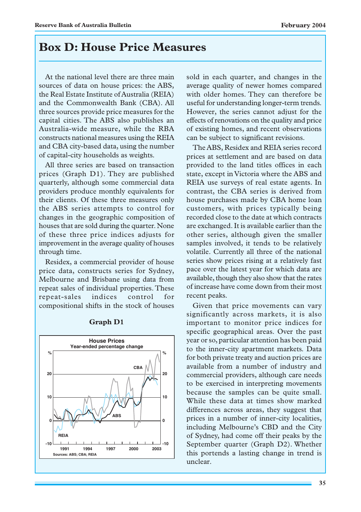# **Box D: House Price Measures**

At the national level there are three main sources of data on house prices: the ABS, the Real Estate Institute of Australia (REIA) and the Commonwealth Bank (CBA). All three sources provide price measures for the capital cities. The ABS also publishes an Australia-wide measure, while the RBA constructs national measures using the REIA and CBA city-based data, using the number of capital-city households as weights.

All three series are based on transaction prices (Graph D1). They are published quarterly, although some commercial data providers produce monthly equivalents for their clients. Of these three measures only the ABS series attempts to control for changes in the geographic composition of houses that are sold during the quarter. None of these three price indices adjusts for improvement in the average quality of houses through time.

Residex, a commercial provider of house price data, constructs series for Sydney, Melbourne and Brisbane using data from repeat sales of individual properties. These repeat-sales indices control for compositional shifts in the stock of houses



### **Graph D1**

sold in each quarter, and changes in the average quality of newer homes compared with older homes. They can therefore be useful for understanding longer-term trends. However, the series cannot adjust for the effects of renovations on the quality and price of existing homes, and recent observations can be subject to significant revisions.

The ABS, Residex and REIA series record prices at settlement and are based on data provided to the land titles offices in each state, except in Victoria where the ABS and REIA use surveys of real estate agents. In contrast, the CBA series is derived from house purchases made by CBA home loan customers, with prices typically being recorded close to the date at which contracts are exchanged. It is available earlier than the other series, although given the smaller samples involved, it tends to be relatively volatile. Currently all three of the national series show prices rising at a relatively fast pace over the latest year for which data are available, though they also show that the rates of increase have come down from their most recent peaks.

Given that price movements can vary significantly across markets, it is also important to monitor price indices for specific geographical areas. Over the past year or so, particular attention has been paid to the inner-city apartment markets. Data for both private treaty and auction prices are available from a number of industry and commercial providers, although care needs to be exercised in interpreting movements because the samples can be quite small. While these data at times show marked differences across areas, they suggest that prices in a number of inner-city localities, including Melbourne's CBD and the City of Sydney, had come off their peaks by the September quarter (Graph D2). Whether this portends a lasting change in trend is unclear.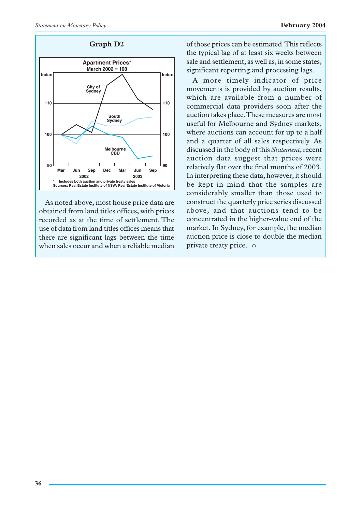



As noted above, most house price data are obtained from land titles offices, with prices recorded as at the time of settlement. The use of data from land titles offices means that there are significant lags between the time when sales occur and when a reliable median

**Graph D2** of those prices can be estimated. This reflects the typical lag of at least six weeks between sale and settlement, as well as, in some states, significant reporting and processing lags.

> A more timely indicator of price movements is provided by auction results, which are available from a number of commercial data providers soon after the auction takes place. These measures are most useful for Melbourne and Sydney markets, where auctions can account for up to a half and a quarter of all sales respectively. As discussed in the body of this *Statement*, recent auction data suggest that prices were relatively flat over the final months of 2003. In interpreting these data, however, it should be kept in mind that the samples are considerably smaller than those used to construct the quarterly price series discussed above, and that auctions tend to be concentrated in the higher-value end of the market. In Sydney, for example, the median auction price is close to double the median private treaty price.  $\alpha$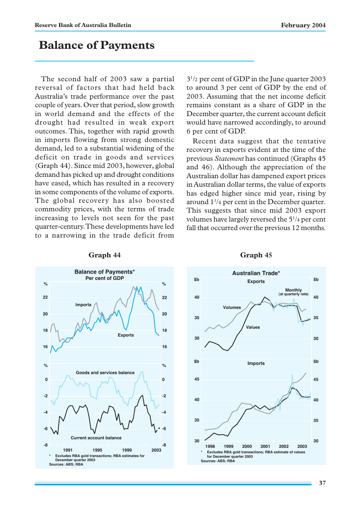# **Balance of Payments**

The second half of 2003 saw a partial reversal of factors that had held back Australia's trade performance over the past couple of years. Over that period, slow growth in world demand and the effects of the drought had resulted in weak export outcomes. This, together with rapid growth in imports flowing from strong domestic demand, led to a substantial widening of the deficit on trade in goods and services (Graph 44). Since mid 2003, however, global demand has picked up and drought conditions have eased, which has resulted in a recovery in some components of the volume of exports. The global recovery has also boosted commodity prices, with the terms of trade increasing to levels not seen for the past quarter-century. These developments have led to a narrowing in the trade deficit from 31/2 per cent of GDP in the June quarter 2003 to around 3 per cent of GDP by the end of 2003. Assuming that the net income deficit remains constant as a share of GDP in the December quarter, the current account deficit would have narrowed accordingly, to around 6 per cent of GDP.

Recent data suggest that the tentative recovery in exports evident at the time of the previous *Statement* has continued (Graphs 45 and 46). Although the appreciation of the Australian dollar has dampened export prices in Australian dollar terms, the value of exports has edged higher since mid year, rising by around 11 /4 per cent in the December quarter. This suggests that since mid 2003 export volumes have largely reversed the 51 /4 per cent fall that occurred over the previous 12 months.



### **Graph 44**



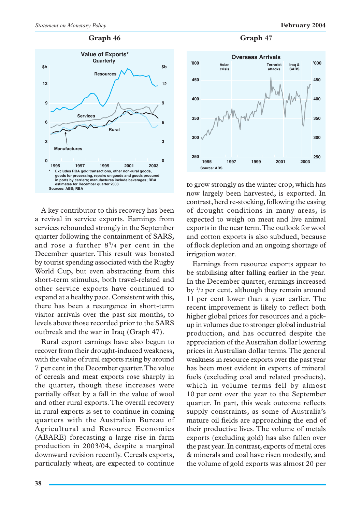

A key contributor to this recovery has been a revival in service exports. Earnings from services rebounded strongly in the September quarter following the containment of SARS, and rose a further  $8\frac{3}{4}$  per cent in the December quarter. This result was boosted by tourist spending associated with the Rugby World Cup, but even abstracting from this short-term stimulus, both travel-related and other service exports have continued to expand at a healthy pace. Consistent with this, there has been a resurgence in short-term visitor arrivals over the past six months, to levels above those recorded prior to the SARS outbreak and the war in Iraq (Graph 47).

Rural export earnings have also begun to recover from their drought-induced weakness, with the value of rural exports rising by around 7 per cent in the December quarter. The value of cereals and meat exports rose sharply in the quarter, though these increases were partially offset by a fall in the value of wool and other rural exports. The overall recovery in rural exports is set to continue in coming quarters with the Australian Bureau of Agricultural and Resource Economics (ABARE) forecasting a large rise in farm production in 2003/04, despite a marginal downward revision recently. Cereals exports, particularly wheat, are expected to continue



to grow strongly as the winter crop, which has now largely been harvested, is exported. In contrast, herd re-stocking, following the easing of drought conditions in many areas, is expected to weigh on meat and live animal exports in the near term. The outlook for wool and cotton exports is also subdued, because of flock depletion and an ongoing shortage of irrigation water.

Earnings from resource exports appear to be stabilising after falling earlier in the year. In the December quarter, earnings increased by 1 /2 per cent, although they remain around 11 per cent lower than a year earlier. The recent improvement is likely to reflect both higher global prices for resources and a pickup in volumes due to stronger global industrial production, and has occurred despite the appreciation of the Australian dollar lowering prices in Australian dollar terms. The general weakness in resource exports over the past year has been most evident in exports of mineral fuels (excluding coal and related products), which in volume terms fell by almost 10 per cent over the year to the September quarter. In part, this weak outcome reflects supply constraints, as some of Australia's mature oil fields are approaching the end of their productive lives. The volume of metals exports (excluding gold) has also fallen over the past year. In contrast, exports of metal ores & minerals and coal have risen modestly, and the volume of gold exports was almost 20 per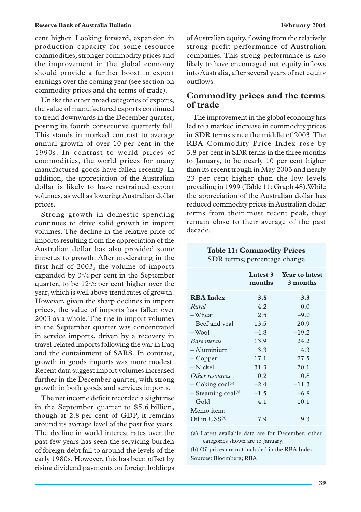cent higher. Looking forward, expansion in production capacity for some resource commodities, stronger commodity prices and the improvement in the global economy should provide a further boost to export earnings over the coming year (see section on commodity prices and the terms of trade).

Unlike the other broad categories of exports, the value of manufactured exports continued to trend downwards in the December quarter, posting its fourth consecutive quarterly fall. This stands in marked contrast to average annual growth of over 10 per cent in the 1990s. In contrast to world prices of commodities, the world prices for many manufactured goods have fallen recently. In addition, the appreciation of the Australian dollar is likely to have restrained export volumes, as well as lowering Australian dollar prices.

Strong growth in domestic spending continues to drive solid growth in import volumes. The decline in the relative price of imports resulting from the appreciation of the Australian dollar has also provided some impetus to growth. After moderating in the first half of 2003, the volume of imports expanded by  $3^{1/4}$  per cent in the September quarter, to be  $12^{1/2}$  per cent higher over the year, which is well above trend rates of growth. However, given the sharp declines in import prices, the value of imports has fallen over 2003 as a whole. The rise in import volumes in the September quarter was concentrated in service imports, driven by a recovery in travel-related imports following the war in Iraq and the containment of SARS. In contrast, growth in goods imports was more modest. Recent data suggest import volumes increased further in the December quarter, with strong growth in both goods and services imports.

The net income deficit recorded a slight rise in the September quarter to \$5.6 billion, though at 2.8 per cent of GDP, it remains around its average level of the past five years. The decline in world interest rates over the past few years has seen the servicing burden of foreign debt fall to around the levels of the early 1980s. However, this has been offset by rising dividend payments on foreign holdings of Australian equity, flowing from the relatively strong profit performance of Australian companies. This strong performance is also likely to have encouraged net equity inflows into Australia, after several years of net equity outflows.

# **Commodity prices and the terms of trade**

The improvement in the global economy has led to a marked increase in commodity prices in SDR terms since the middle of 2003. The RBA Commodity Price Index rose by 3.8 per cent in SDR terms in the three months to January, to be nearly 10 per cent higher than its recent trough in May 2003 and nearly 23 per cent higher than the low levels prevailing in 1999 (Table 11; Graph 48). While the appreciation of the Australian dollar has reduced commodity prices in Australian dollar terms from their most recent peak, they remain close to their average of the past decade.

### **Table 11: Commodity Prices** SDR terms; percentage change

|                                  | months | Latest 3 Year to latest<br>3 months |
|----------------------------------|--------|-------------------------------------|
| <b>RBA</b> Index                 | 3.8    | 3.3                                 |
| Rural                            | 4.2    | 0.0                                 |
| -Wheat                           | 2.5    | $-9.0$                              |
| - Beef and yeal                  | 13.5   | 20.9                                |
| $-$ Wool                         | $-4.8$ | $-19.2$                             |
| Base metals                      | 13.9   | 24.2                                |
| $-$ Aluminium                    | 3.3    | 4.3                                 |
| – Copper                         | 17.1   | 27.5                                |
| – Nickel                         | 31.3   | 70.1                                |
| Other resources                  | 0.2    | $-0.8$                              |
| $-$ Coking coal <sup>(a)</sup>   | $-2.4$ | $-11.3$                             |
| $-$ Steaming coal <sup>(a)</sup> | $-1.5$ | $-6.8$                              |
| $-$ Gold                         | 4.1    | 10.1                                |
| Memo item:                       |        |                                     |
| Oil in $\mathrm{USS}^{(b)}$      | 7.9    | 9.3                                 |

(a) Latest available data are for December; other categories shown are to January.

(b) Oil prices are not included in the RBA Index. Sources: Bloomberg; RBA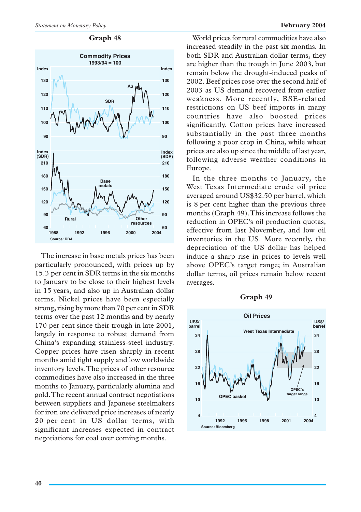

### **Graph 48**

The increase in base metals prices has been particularly pronounced, with prices up by 15.3 per cent in SDR terms in the six months to January to be close to their highest levels in 15 years, and also up in Australian dollar terms. Nickel prices have been especially strong, rising by more than 70 per cent in SDR terms over the past 12 months and by nearly 170 per cent since their trough in late 2001, largely in response to robust demand from China's expanding stainless-steel industry. Copper prices have risen sharply in recent months amid tight supply and low worldwide inventory levels. The prices of other resource commodities have also increased in the three months to January, particularly alumina and gold. The recent annual contract negotiations between suppliers and Japanese steelmakers for iron ore delivered price increases of nearly 20 per cent in US dollar terms, with significant increases expected in contract negotiations for coal over coming months.

World prices for rural commodities have also increased steadily in the past six months. In both SDR and Australian dollar terms, they are higher than the trough in June 2003, but remain below the drought-induced peaks of 2002. Beef prices rose over the second half of 2003 as US demand recovered from earlier weakness. More recently, BSE-related restrictions on US beef imports in many countries have also boosted prices significantly. Cotton prices have increased substantially in the past three months following a poor crop in China, while wheat prices are also up since the middle of last year, following adverse weather conditions in Europe.

In the three months to January, the West Texas Intermediate crude oil price averaged around US\$32.50 per barrel, which is 8 per cent higher than the previous three months (Graph 49). This increase follows the reduction in OPEC's oil production quotas, effective from last November, and low oil inventories in the US. More recently, the depreciation of the US dollar has helped induce a sharp rise in prices to levels well above OPEC's target range; in Australian dollar terms, oil prices remain below recent averages.



### **Graph 49**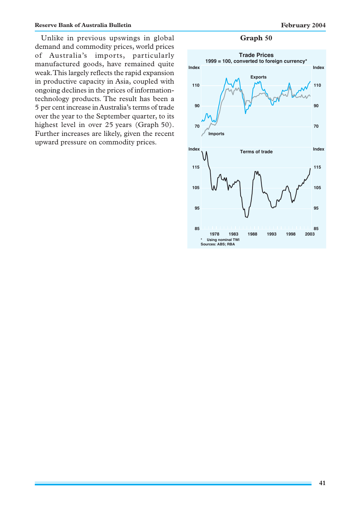Unlike in previous upswings in global **Graph 50** demand and commodity prices, world prices of Australia's imports, particularly manufactured goods, have remained quite weak. This largely reflects the rapid expansion in productive capacity in Asia, coupled with ongoing declines in the prices of informationtechnology products. The result has been a 5 per cent increase in Australia's terms of trade over the year to the September quarter, to its highest level in over 25 years (Graph 50). Further increases are likely, given the recent upward pressure on commodity prices.

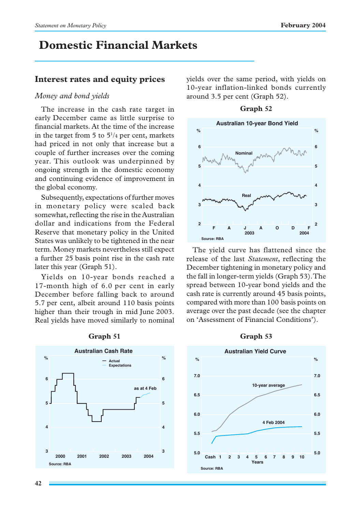# **Domestic Financial Markets**

# **Interest rates and equity prices**

### *Money and bond yields*

The increase in the cash rate target in early December came as little surprise to financial markets. At the time of the increase in the target from 5 to  $5^{1/4}$  per cent, markets had priced in not only that increase but a couple of further increases over the coming year. This outlook was underpinned by ongoing strength in the domestic economy and continuing evidence of improvement in the global economy.

Subsequently, expectations of further moves in monetary policy were scaled back somewhat, reflecting the rise in the Australian dollar and indications from the Federal Reserve that monetary policy in the United States was unlikely to be tightened in the near term. Money markets nevertheless still expect a further 25 basis point rise in the cash rate later this year (Graph 51).

Yields on 10-year bonds reached a 17-month high of 6.0 per cent in early December before falling back to around 5.7 per cent, albeit around 110 basis points higher than their trough in mid June 2003. Real yields have moved similarly to nominal



### **Graph 51**

yields over the same period, with yields on 10-year inflation-linked bonds currently around 3.5 per cent (Graph 52).



The yield curve has flattened since the release of the last *Statement*, reflecting the December tightening in monetary policy and the fall in longer-term yields (Graph 53). The spread between 10-year bond yields and the cash rate is currently around 45 basis points, compared with more than 100 basis points on average over the past decade (see the chapter on 'Assessment of Financial Conditions').

### **Graph 53**

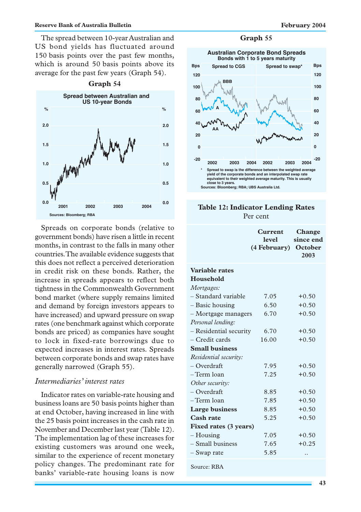The spread between 10-year Australian and US bond yields has fluctuated around 150 basis points over the past few months, which is around 50 basis points above its average for the past few years (Graph 54).



Spreads on corporate bonds (relative to government bonds) have risen a little in recent months, in contrast to the falls in many other countries. The available evidence suggests that this does not reflect a perceived deterioration in credit risk on these bonds. Rather, the increase in spreads appears to reflect both tightness in the Commonwealth Government bond market (where supply remains limited and demand by foreign investors appears to have increased) and upward pressure on swap rates (one benchmark against which corporate bonds are priced) as companies have sought to lock in fixed-rate borrowings due to expected increases in interest rates. Spreads between corporate bonds and swap rates have generally narrowed (Graph 55).

## *Intermediaries' interest rates*

Indicator rates on variable-rate housing and business loans are 50 basis points higher than at end October, having increased in line with the 25 basis point increases in the cash rate in November and December last year (Table 12). The implementation lag of these increases for existing customers was around one week, similar to the experience of recent monetary policy changes. The predominant rate for banks' variable-rate housing loans is now

### **Graph 55**



### **Table 12: Indicator Lending Rates** Per cent

|                        | Current<br><b>level</b><br>(4 February) October | Change<br>since end<br>2003 |
|------------------------|-------------------------------------------------|-----------------------------|
| Variable rates         |                                                 |                             |
| Household              |                                                 |                             |
| Mortgages:             |                                                 |                             |
| – Standard variable    | 7.05                                            | $+0.50$                     |
| - Basic housing        | 6.50                                            | $+0.50$                     |
| - Mortgage managers    | 6.70                                            | $+0.50$                     |
| Personal lending:      |                                                 |                             |
| - Residential security | 6.70                                            | $+0.50$                     |
| - Credit cards         | 16.00                                           | $+0.50$                     |
| <b>Small business</b>  |                                                 |                             |
| Residential security:  |                                                 |                             |
| - Overdraft            | 7.95                                            | $+0.50$                     |
| -Term loan             | 7.25                                            | $+0.50$                     |
| Other security:        |                                                 |                             |
| - Overdraft            | 8.85                                            | $+0.50$                     |
| -Term loan             | 7.85                                            | $+0.50$                     |
| <b>Large business</b>  | 8.85                                            | $+0.50$                     |
| <b>Cash rate</b>       | 5.25                                            | $+0.50$                     |
| Fixed rates (3 years)  |                                                 |                             |
| – Housing              | 7.05                                            | $+0.50$                     |
| - Small business       | 7.65                                            | $+0.25$                     |
| – Swap rate            | 5.85                                            |                             |
| Source: RBA            |                                                 |                             |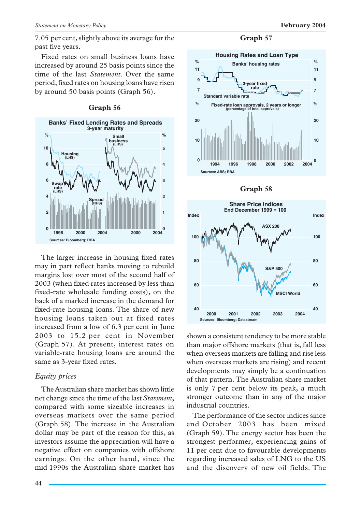Fixed rates on small business loans have increased by around 25 basis points since the time of the last *Statement*. Over the same period, fixed rates on housing loans have risen by around 50 basis points (Graph 56).





The larger increase in housing fixed rates may in part reflect banks moving to rebuild margins lost over most of the second half of 2003 (when fixed rates increased by less than fixed-rate wholesale funding costs), on the back of a marked increase in the demand for fixed-rate housing loans. The share of new housing loans taken out at fixed rates increased from a low of 6.3 per cent in June 2003 to 15.2 per cent in November (Graph 57). At present, interest rates on variable-rate housing loans are around the same as 3-year fixed rates.

# *Equity prices*

The Australian share market has shown little net change since the time of the last *Statement*, compared with some sizeable increases in overseas markets over the same period (Graph 58). The increase in the Australian dollar may be part of the reason for this, as investors assume the appreciation will have a negative effect on companies with offshore earnings. On the other hand, since the mid 1990s the Australian share market has



**Graph 58**



shown a consistent tendency to be more stable than major offshore markets (that is, fall less when overseas markets are falling and rise less when overseas markets are rising) and recent developments may simply be a continuation of that pattern. The Australian share market is only 7 per cent below its peak, a much stronger outcome than in any of the major industrial countries.

The performance of the sector indices since end October 2003 has been mixed (Graph 59). The energy sector has been the strongest performer, experiencing gains of 11 per cent due to favourable developments regarding increased sales of LNG to the US and the discovery of new oil fields. The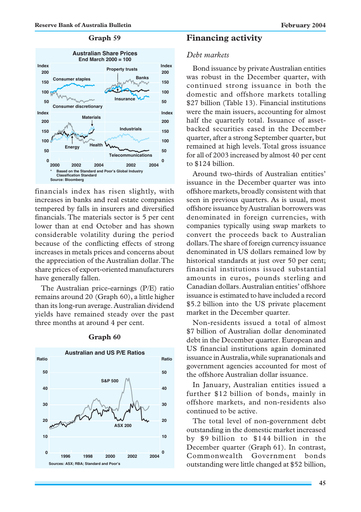### **Graph 59**



financials index has risen slightly, with increases in banks and real estate companies tempered by falls in insurers and diversified financials. The materials sector is 5 per cent lower than at end October and has shown considerable volatility during the period because of the conflicting effects of strong increases in metals prices and concerns about the appreciation of the Australian dollar. The share prices of export-oriented manufacturers have generally fallen.

The Australian price-earnings (P/E) ratio remains around 20 (Graph 60), a little higher than its long-run average. Australian dividend yields have remained steady over the past three months at around 4 per cent.



### **Graph 60**

### **Financing activity**

### *Debt markets*

Bond issuance by private Australian entities was robust in the December quarter, with continued strong issuance in both the domestic and offshore markets totalling \$27 billion (Table 13). Financial institutions were the main issuers, accounting for almost half the quarterly total. Issuance of assetbacked securities eased in the December quarter, after a strong September quarter, but remained at high levels. Total gross issuance for all of 2003 increased by almost 40 per cent to \$124 billion.

Around two-thirds of Australian entities' issuance in the December quarter was into offshore markets, broadly consistent with that seen in previous quarters. As is usual, most offshore issuance by Australian borrowers was denominated in foreign currencies, with companies typically using swap markets to convert the proceeds back to Australian dollars. The share of foreign currency issuance denominated in US dollars remained low by historical standards at just over 50 per cent; financial institutions issued substantial amounts in euros, pounds sterling and Canadian dollars. Australian entities' offshore issuance is estimated to have included a record \$5.2 billion into the US private placement market in the December quarter.

Non-residents issued a total of almost \$7 billion of Australian dollar denominated debt in the December quarter. European and US financial institutions again dominated issuance in Australia, while supranationals and government agencies accounted for most of the offshore Australian dollar issuance.

In January, Australian entities issued a further \$12 billion of bonds, mainly in offshore markets, and non-residents also continued to be active.

The total level of non-government debt outstanding in the domestic market increased by \$9 billion to \$144 billion in the December quarter (Graph 61). In contrast, Commonwealth Government bonds outstanding were little changed at \$52 billion,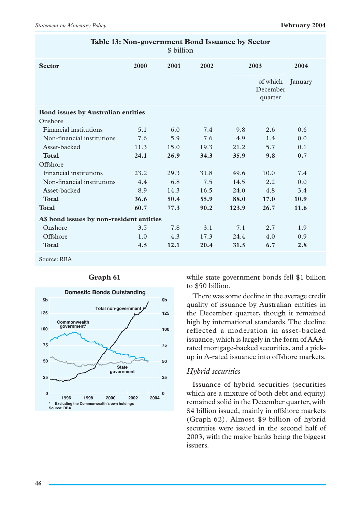| Table 13: Non-government Bond Issuance by Sector<br>\$ billion |                                           |      |       |                                 |         |
|----------------------------------------------------------------|-------------------------------------------|------|-------|---------------------------------|---------|
| 2000                                                           | 2001                                      | 2002 |       |                                 | 2004    |
|                                                                |                                           |      |       | of which<br>December<br>quarter | January |
|                                                                |                                           |      |       |                                 |         |
|                                                                |                                           |      |       |                                 |         |
| 5.1                                                            | 6.0                                       | 7.4  | 9.8   | 2.6                             | 0.6     |
| 7.6                                                            | 5.9                                       | 7.6  | 4.9   | 1.4                             | 0.0     |
| 11.3                                                           | 15.0                                      | 19.3 | 21.2  | 5.7                             | 0.1     |
| 24.1                                                           | 26.9                                      | 34.3 | 35.9  | 9.8                             | 0.7     |
|                                                                |                                           |      |       |                                 |         |
| 23.2                                                           | 29.3                                      | 31.8 | 49.6  | 10.0                            | 7.4     |
| 4.4                                                            | 6.8                                       | 7.5  | 14.5  | 2.2                             | 0.0     |
| 8.9                                                            | 14.3                                      | 16.5 | 24.0  | 4.8                             | 3.4     |
| 36.6                                                           | 50.4                                      | 55.9 | 88.0  | 17.0                            | 10.9    |
| 60.7                                                           | 77.3                                      | 90.2 | 123.9 | 26.7                            | 11.6    |
| A\$ bond issues by non-resident entities                       |                                           |      |       |                                 |         |
| 3.5                                                            | 7.8                                       | 3.1  | 7.1   | 2.7                             | 1.9     |
| 1.0                                                            | 4.3                                       | 17.3 | 24.4  | 4.0                             | 0.9     |
| 4.5                                                            | 12.1                                      | 20.4 | 31.5  | 6.7                             | 2.8     |
|                                                                | <b>Bond issues by Australian entities</b> |      |       |                                 | 2003    |

Source: RBA



### **Graph 61**

while state government bonds fell \$1 billion to \$50 billion.

There was some decline in the average credit quality of issuance by Australian entities in the December quarter, though it remained high by international standards. The decline reflected a moderation in asset-backed issuance, which is largely in the form of AAArated mortgage-backed securities, and a pickup in A-rated issuance into offshore markets.

### *Hybrid securities*

Issuance of hybrid securities (securities which are a mixture of both debt and equity) remained solid in the December quarter, with \$4 billion issued, mainly in offshore markets (Graph 62). Almost \$9 billion of hybrid securities were issued in the second half of 2003, with the major banks being the biggest issuers.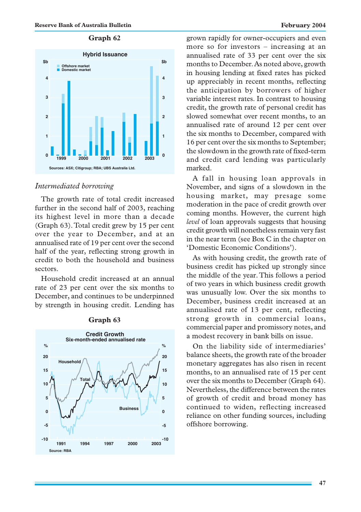## **Graph 62**



### *Intermediated borrowing*

The growth rate of total credit increased further in the second half of 2003, reaching its highest level in more than a decade (Graph 63). Total credit grew by 15 per cent over the year to December, and at an annualised rate of 19 per cent over the second half of the year, reflecting strong growth in credit to both the household and business sectors.

Household credit increased at an annual rate of 23 per cent over the six months to December, and continues to be underpinned by strength in housing credit. Lending has



### **Graph 63**

grown rapidly for owner-occupiers and even more so for investors – increasing at an annualised rate of 33 per cent over the six months to December. As noted above, growth in housing lending at fixed rates has picked up appreciably in recent months, reflecting the anticipation by borrowers of higher variable interest rates. In contrast to housing credit, the growth rate of personal credit has slowed somewhat over recent months, to an annualised rate of around 12 per cent over the six months to December, compared with 16 per cent over the six months to September; the slowdown in the growth rate of fixed-term and credit card lending was particularly marked.

A fall in housing loan approvals in November, and signs of a slowdown in the housing market, may presage some moderation in the pace of credit growth over coming months. However, the current high *level* of loan approvals suggests that housing credit growth will nonetheless remain very fast in the near term (see Box C in the chapter on 'Domestic Economic Conditions').

As with housing credit, the growth rate of business credit has picked up strongly since the middle of the year. This follows a period of two years in which business credit growth was unusually low. Over the six months to December, business credit increased at an annualised rate of 13 per cent, reflecting strong growth in commercial loans, commercial paper and promissory notes, and a modest recovery in bank bills on issue.

On the liability side of intermediaries' balance sheets, the growth rate of the broader monetary aggregates has also risen in recent months, to an annualised rate of 15 per cent over the six months to December (Graph 64). Nevertheless, the difference between the rates of growth of credit and broad money has continued to widen, reflecting increased reliance on other funding sources, including offshore borrowing.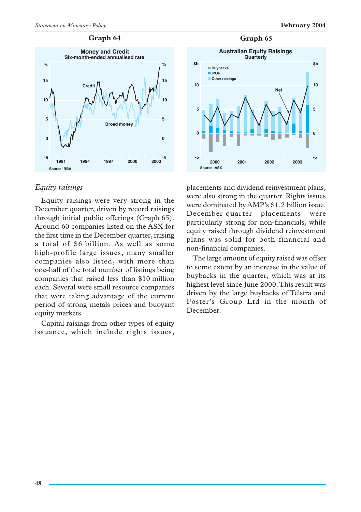**-5**

**2003**

#### **Graph 64**



## *Equity raisings*

Equity raisings were very strong in the December quarter, driven by record raisings through initial public offerings (Graph 65). Around 60 companies listed on the ASX for the first time in the December quarter, raising a total of \$6 billion. As well as some high-profile large issues, many smaller companies also listed, with more than one-half of the total number of listings being companies that raised less than \$10 million each. Several were small resource companies that were taking advantage of the current period of strong metals prices and buoyant equity markets.

Capital raisings from other types of equity issuance, which include rights issues,



placements and dividend reinvestment plans, were also strong in the quarter. Rights issues were dominated by AMP's \$1.2 billion issue. December quarter placements were particularly strong for non-financials, while equity raised through dividend reinvestment plans was solid for both financial and non-financial companies.

**2001 2000 2002**

**-5**

**Source: ASX**

The large amount of equity raised was offset to some extent by an increase in the value of buybacks in the quarter, which was at its highest level since June 2000. This result was driven by the large buybacks of Telstra and Foster's Group Ltd in the month of December.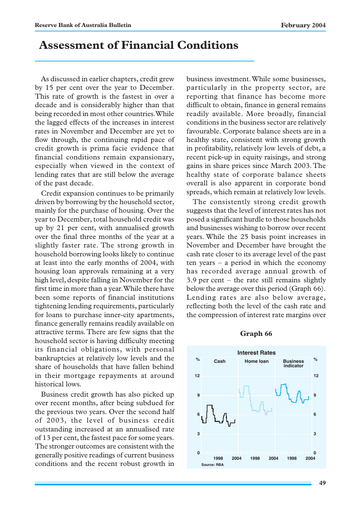# **Assessment of Financial Conditions**

As discussed in earlier chapters, credit grew by 15 per cent over the year to December. This rate of growth is the fastest in over a decade and is considerably higher than that being recorded in most other countries. While the lagged effects of the increases in interest rates in November and December are yet to flow through, the continuing rapid pace of credit growth is prima facie evidence that financial conditions remain expansionary, especially when viewed in the context of lending rates that are still below the average of the past decade.

Credit expansion continues to be primarily driven by borrowing by the household sector, mainly for the purchase of housing. Over the year to December, total household credit was up by 21 per cent, with annualised growth over the final three months of the year at a slightly faster rate. The strong growth in household borrowing looks likely to continue at least into the early months of 2004, with housing loan approvals remaining at a very high level, despite falling in November for the first time in more than a year. While there have been some reports of financial institutions tightening lending requirements, particularly for loans to purchase inner-city apartments, finance generally remains readily available on attractive terms. There are few signs that the household sector is having difficulty meeting its financial obligations, with personal bankruptcies at relatively low levels and the share of households that have fallen behind in their mortgage repayments at around historical lows.

Business credit growth has also picked up over recent months, after being subdued for the previous two years. Over the second half of 2003, the level of business credit outstanding increased at an annualised rate of 13 per cent, the fastest pace for some years. The stronger outcomes are consistent with the generally positive readings of current business conditions and the recent robust growth in business investment. While some businesses, particularly in the property sector, are reporting that finance has become more difficult to obtain, finance in general remains readily available. More broadly, financial conditions in the business sector are relatively favourable. Corporate balance sheets are in a healthy state, consistent with strong growth in profitability, relatively low levels of debt, a recent pick-up in equity raisings, and strong gains in share prices since March 2003. The healthy state of corporate balance sheets overall is also apparent in corporate bond spreads, which remain at relatively low levels.

The consistently strong credit growth suggests that the level of interest rates has not posed a significant hurdle to those households and businesses wishing to borrow over recent years. While the 25 basis point increases in November and December have brought the cash rate closer to its average level of the past ten years – a period in which the economy has recorded average annual growth of 3.9 per cent – the rate still remains slightly below the average over this period (Graph 66). Lending rates are also below average, reflecting both the level of the cash rate and the compression of interest rate margins over

#### **Graph 66**

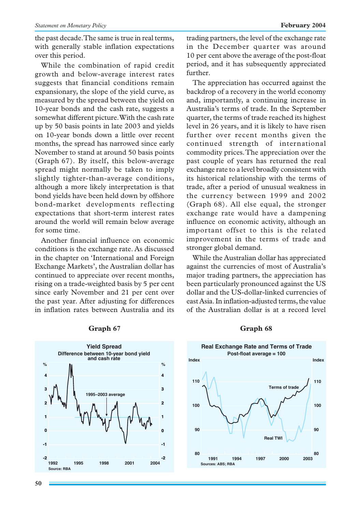the past decade. The same is true in real terms, with generally stable inflation expectations over this period.

While the combination of rapid credit growth and below-average interest rates suggests that financial conditions remain expansionary, the slope of the yield curve, as measured by the spread between the yield on 10-year bonds and the cash rate, suggests a somewhat different picture. With the cash rate up by 50 basis points in late 2003 and yields on 10-year bonds down a little over recent months, the spread has narrowed since early November to stand at around 50 basis points (Graph 67). By itself, this below-average spread might normally be taken to imply slightly tighter-than-average conditions, although a more likely interpretation is that bond yields have been held down by offshore bond-market developments reflecting expectations that short-term interest rates around the world will remain below average for some time.

Another financial influence on economic conditions is the exchange rate. As discussed in the chapter on 'International and Foreign Exchange Markets', the Australian dollar has continued to appreciate over recent months, rising on a trade-weighted basis by 5 per cent since early November and 21 per cent over the past year. After adjusting for differences in inflation rates between Australia and its trading partners, the level of the exchange rate in the December quarter was around 10 per cent above the average of the post-float period, and it has subsequently appreciated further.

The appreciation has occurred against the backdrop of a recovery in the world economy and, importantly, a continuing increase in Australia's terms of trade. In the September quarter, the terms of trade reached its highest level in 26 years, and it is likely to have risen further over recent months given the continued strength of international commodity prices. The appreciation over the past couple of years has returned the real exchange rate to a level broadly consistent with its historical relationship with the terms of trade, after a period of unusual weakness in the currency between 1999 and 2002 (Graph 68). All else equal, the stronger exchange rate would have a dampening influence on economic activity, although an important offset to this is the related improvement in the terms of trade and stronger global demand.

While the Australian dollar has appreciated against the currencies of most of Australia's major trading partners, the appreciation has been particularly pronounced against the US dollar and the US-dollar-linked currencies of east Asia. In inflation-adjusted terms, the value of the Australian dollar is at a record level



### **Graph 67 Graph 68**

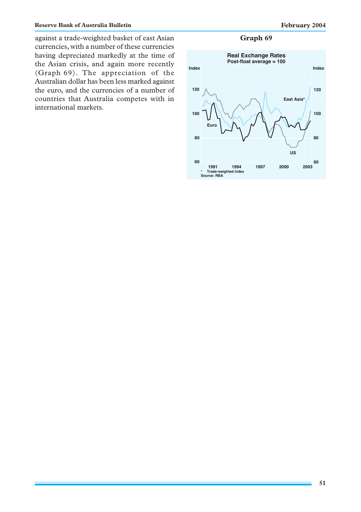against a trade-weighted basket of east Asian **Graph 69** currencies, with a number of these currencies having depreciated markedly at the time of the Asian crisis, and again more recently (Graph 69). The appreciation of the Australian dollar has been less marked against the euro, and the currencies of a number of countries that Australia competes with in international markets.

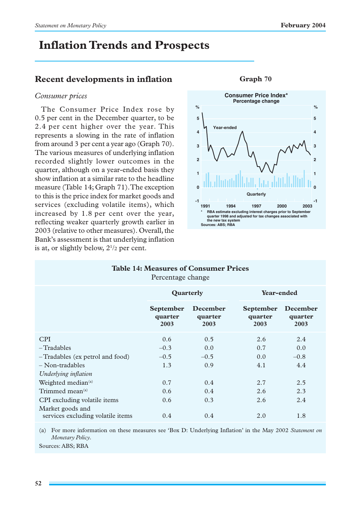# **Inflation Trends and Prospects**

# **Recent developments in inflation**

### *Consumer prices*

The Consumer Price Index rose by 0.5 per cent in the December quarter, to be 2.4 per cent higher over the year. This represents a slowing in the rate of inflation from around 3 per cent a year ago (Graph 70). The various measures of underlying inflation recorded slightly lower outcomes in the quarter, although on a year-ended basis they show inflation at a similar rate to the headline measure (Table 14; Graph 71). The exception to this is the price index for market goods and services (excluding volatile items), which increased by 1.8 per cent over the year, reflecting weaker quarterly growth earlier in 2003 (relative to other measures). Overall, the Bank's assessment is that underlying inflation is at, or slightly below,  $2^{1/2}$  per cent.



### **Graph 70**

| <b>Table 14: Measures of Consumer Prices</b><br>Percentage change |                              |                             |                                     |                             |  |
|-------------------------------------------------------------------|------------------------------|-----------------------------|-------------------------------------|-----------------------------|--|
|                                                                   | Quarterly                    |                             | <b>Year-ended</b>                   |                             |  |
|                                                                   | September<br>quarter<br>2003 | December<br>quarter<br>2003 | <b>September</b><br>quarter<br>2003 | December<br>quarter<br>2003 |  |
| <b>CPI</b>                                                        | 0.6                          | 0.5                         | 2.6                                 | 2.4                         |  |
| $-Tradables$                                                      | $-0.3$                       | 0.0                         | 0.7                                 | 0.0                         |  |
| -Tradables (ex petrol and food)                                   | $-0.5$                       | $-0.5$                      | 0.0                                 | $-0.8$                      |  |
| $-$ Non-tradables                                                 | 1.3                          | 0.9                         | 4.1                                 | 4.4                         |  |
| Underlying inflation                                              |                              |                             |                                     |                             |  |
| Weighted median <sup>(a)</sup>                                    | 0.7                          | 0.4                         | 2.7                                 | 2.5                         |  |
| Trimmed mean <sup>(a)</sup>                                       | 0.6                          | 0.4                         | 2.6                                 | 2.3                         |  |
| CPI excluding volatile items                                      | 0.6                          | 0.3                         | 2.6                                 | 2.4                         |  |
| Market goods and                                                  |                              |                             |                                     |                             |  |
| services excluding volatile items                                 | 0.4                          | 0.4                         | 2.0                                 | 1.8                         |  |

(a) For more information on these measures see 'Box D: Underlying Inflation' in the May 2002 *Statement on Monetary Policy*.

Sources: ABS; RBA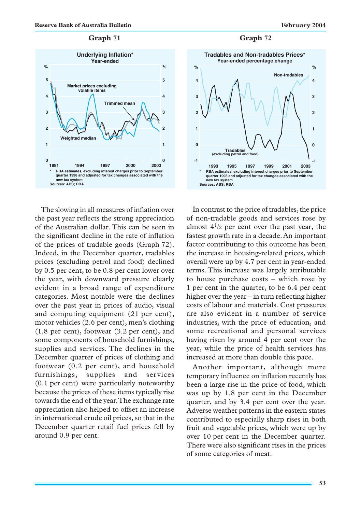

The slowing in all measures of inflation over the past year reflects the strong appreciation of the Australian dollar. This can be seen in the significant decline in the rate of inflation of the prices of tradable goods (Graph 72). Indeed, in the December quarter, tradables prices (excluding petrol and food) declined by 0.5 per cent, to be 0.8 per cent lower over the year, with downward pressure clearly evident in a broad range of expenditure categories. Most notable were the declines over the past year in prices of audio, visual and computing equipment (21 per cent), motor vehicles (2.6 per cent), men's clothing (1.8 per cent), footwear (3.2 per cent), and some components of household furnishings, supplies and services. The declines in the December quarter of prices of clothing and footwear (0.2 per cent), and household furnishings, supplies and services (0.1 per cent) were particularly noteworthy because the prices of these items typically rise towards the end of the year. The exchange rate appreciation also helped to offset an increase in international crude oil prices, so that in the December quarter retail fuel prices fell by around 0.9 per cent.





In contrast to the price of tradables, the price of non-tradable goods and services rose by almost  $4^{1/2}$  per cent over the past year, the fastest growth rate in a decade. An important factor contributing to this outcome has been the increase in housing-related prices, which overall were up by 4.7 per cent in year-ended terms. This increase was largely attributable to house purchase costs – which rose by 1 per cent in the quarter, to be 6.4 per cent higher over the year – in turn reflecting higher costs of labour and materials. Cost pressures are also evident in a number of service industries, with the price of education, and some recreational and personal services having risen by around 4 per cent over the year, while the price of health services has increased at more than double this pace.

Another important, although more temporary influence on inflation recently has been a large rise in the price of food, which was up by 1.8 per cent in the December quarter, and by 3.4 per cent over the year. Adverse weather patterns in the eastern states contributed to especially sharp rises in both fruit and vegetable prices, which were up by over 10 per cent in the December quarter. There were also significant rises in the prices of some categories of meat.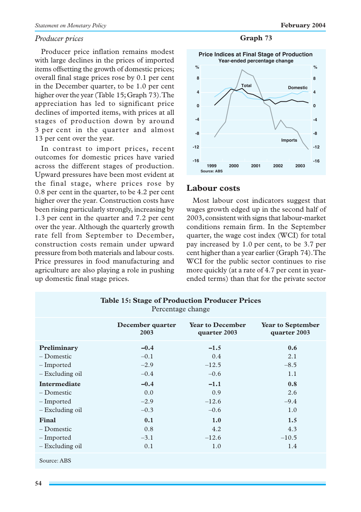### *Producer prices*

Producer price inflation remains modest with large declines in the prices of imported items offsetting the growth of domestic prices; overall final stage prices rose by 0.1 per cent in the December quarter, to be 1.0 per cent higher over the year (Table 15; Graph 73). The appreciation has led to significant price declines of imported items, with prices at all stages of production down by around 3 per cent in the quarter and almost 13 per cent over the year.

In contrast to import prices, recent outcomes for domestic prices have varied across the different stages of production. Upward pressures have been most evident at the final stage, where prices rose by 0.8 per cent in the quarter, to be 4.2 per cent higher over the year. Construction costs have been rising particularly strongly, increasing by 1.3 per cent in the quarter and 7.2 per cent over the year. Although the quarterly growth rate fell from September to December, construction costs remain under upward pressure from both materials and labour costs. Price pressures in food manufacturing and agriculture are also playing a role in pushing up domestic final stage prices.

### **Graph 73**



## **Labour costs**

Most labour cost indicators suggest that wages growth edged up in the second half of 2003, consistent with signs that labour-market conditions remain firm. In the September quarter, the wage cost index (WCI) for total pay increased by 1.0 per cent, to be 3.7 per cent higher than a year earlier (Graph 74). The WCI for the public sector continues to rise more quickly (at a rate of 4.7 per cent in yearended terms) than that for the private sector

| Percentage change |                          |                                         |                                          |  |  |
|-------------------|--------------------------|-----------------------------------------|------------------------------------------|--|--|
|                   | December quarter<br>2003 | <b>Year to December</b><br>quarter 2003 | <b>Year to September</b><br>quarter 2003 |  |  |
| Preliminary       | $-0.4$                   | $-1.5$                                  | 0.6                                      |  |  |
| $-Domestic$       | $-0.1$                   | 0.4                                     | 2.1                                      |  |  |
| – Imported        | $-2.9$                   | $-12.5$                                 | $-8.5$                                   |  |  |
| - Excluding oil   | $-0.4$                   | $-0.6$                                  | 1.1                                      |  |  |
| Intermediate      | $-0.4$                   | $-1.1$                                  | 0.8                                      |  |  |
| – Domestic        | 0.0                      | 0.9                                     | 2.6                                      |  |  |
| - Imported        | $-2.9$                   | $-12.6$                                 | $-9.4$                                   |  |  |
| - Excluding oil   | $-0.3$                   | $-0.6$                                  | 1.0                                      |  |  |
| Final             | 0.1                      | 1.0                                     | 1.5                                      |  |  |
| – Domestic        | 0.8                      | 4.2                                     | 4.3                                      |  |  |
| – Imported        | $-3.1$                   | $-12.6$                                 | $-10.5$                                  |  |  |
| - Excluding oil   | 0.1                      | 1.0                                     | 1.4                                      |  |  |
| Source: ABS       |                          |                                         |                                          |  |  |

**Table 15: Stage of Production Producer Prices**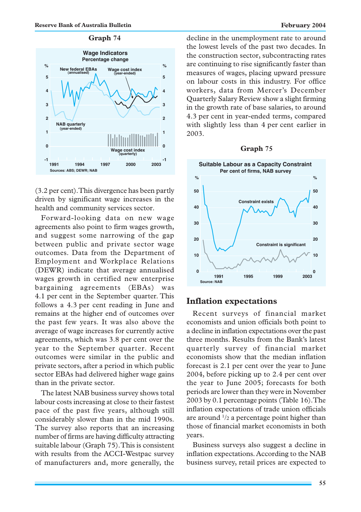

(3.2 per cent). This divergence has been partly driven by significant wage increases in the health and community services sector.

Forward-looking data on new wage agreements also point to firm wages growth, and suggest some narrowing of the gap between public and private sector wage outcomes. Data from the Department of Employment and Workplace Relations (DEWR) indicate that average annualised wages growth in certified new enterprise bargaining agreements (EBAs) was 4.1 per cent in the September quarter. This follows a 4.3 per cent reading in June and remains at the higher end of outcomes over the past few years. It was also above the average of wage increases for currently active agreements, which was 3.8 per cent over the year to the September quarter. Recent outcomes were similar in the public and private sectors, after a period in which public sector EBAs had delivered higher wage gains than in the private sector.

The latest NAB business survey shows total labour costs increasing at close to their fastest pace of the past five years, although still considerably slower than in the mid 1990s. The survey also reports that an increasing number of firms are having difficulty attracting suitable labour (Graph 75). This is consistent with results from the ACCI-Westpac survey of manufacturers and, more generally, the decline in the unemployment rate to around the lowest levels of the past two decades. In the construction sector, subcontracting rates are continuing to rise significantly faster than measures of wages, placing upward pressure on labour costs in this industry. For office workers, data from Mercer's December Quarterly Salary Review show a slight firming in the growth rate of base salaries, to around 4.3 per cent in year-ended terms, compared with slightly less than 4 per cent earlier in 2003.

### **Graph 75**



## **Inflation expectations**

Recent surveys of financial market economists and union officials both point to a decline in inflation expectations over the past three months. Results from the Bank's latest quarterly survey of financial market economists show that the median inflation forecast is 2.1 per cent over the year to June 2004, before picking up to 2.4 per cent over the year to June 2005; forecasts for both periods are lower than they were in November 2003 by 0.1 percentage points (Table 16). The inflation expectations of trade union officials are around  $\frac{1}{2}$  a percentage point higher than those of financial market economists in both years.

Business surveys also suggest a decline in inflation expectations. According to the NAB business survey, retail prices are expected to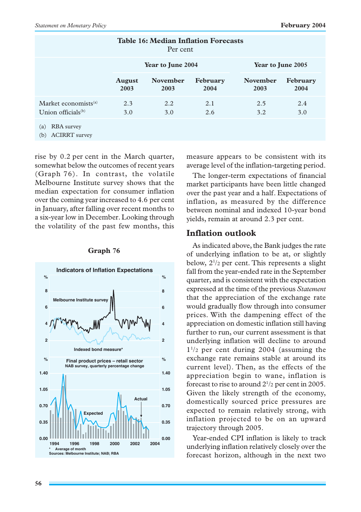| <b>Table 16: Median Inflation Forecasts</b><br>Per cent   |                       |                         |                  |                         |                         |  |
|-----------------------------------------------------------|-----------------------|-------------------------|------------------|-------------------------|-------------------------|--|
|                                                           | Year to June 2004     |                         |                  | Year to June 2005       |                         |  |
|                                                           | <b>August</b><br>2003 | <b>November</b><br>2003 | February<br>2004 | <b>November</b><br>2003 | <b>February</b><br>2004 |  |
| Market economists <sup>(a)</sup><br>Union officials $(b)$ | 2.3<br>3.0            | $2.2^{\circ}$<br>3.0    | 2.1<br>2.6       | 2.5<br>3.2              | 2.4<br>3.0              |  |
| <b>RBA</b> survey<br>(a)<br><b>ACIRRT</b> survey<br>(b)   |                       |                         |                  |                         |                         |  |

rise by 0.2 per cent in the March quarter, somewhat below the outcomes of recent years (Graph 76). In contrast, the volatile Melbourne Institute survey shows that the median expectation for consumer inflation over the coming year increased to 4.6 per cent in January, after falling over recent months to a six-year low in December. Looking through the volatility of the past few months, this



### **Graph 76**

measure appears to be consistent with its average level of the inflation-targeting period.

The longer-term expectations of financial market participants have been little changed over the past year and a half. Expectations of inflation, as measured by the difference between nominal and indexed 10-year bond yields, remain at around 2.3 per cent.

## **Inflation outlook**

As indicated above, the Bank judges the rate of underlying inflation to be at, or slightly below, 21 /2 per cent. This represents a slight fall from the year-ended rate in the September quarter, and is consistent with the expectation expressed at the time of the previous *Statement* that the appreciation of the exchange rate would gradually flow through into consumer prices. With the dampening effect of the appreciation on domestic inflation still having further to run, our current assessment is that underlying inflation will decline to around  $1^{1/2}$  per cent during 2004 (assuming the exchange rate remains stable at around its current level). Then, as the effects of the appreciation begin to wane, inflation is forecast to rise to around  $2^{1/2}$  per cent in 2005. Given the likely strength of the economy, domestically sourced price pressures are expected to remain relatively strong, with inflation projected to be on an upward trajectory through 2005.

Year-ended CPI inflation is likely to track underlying inflation relatively closely over the forecast horizon, although in the next two